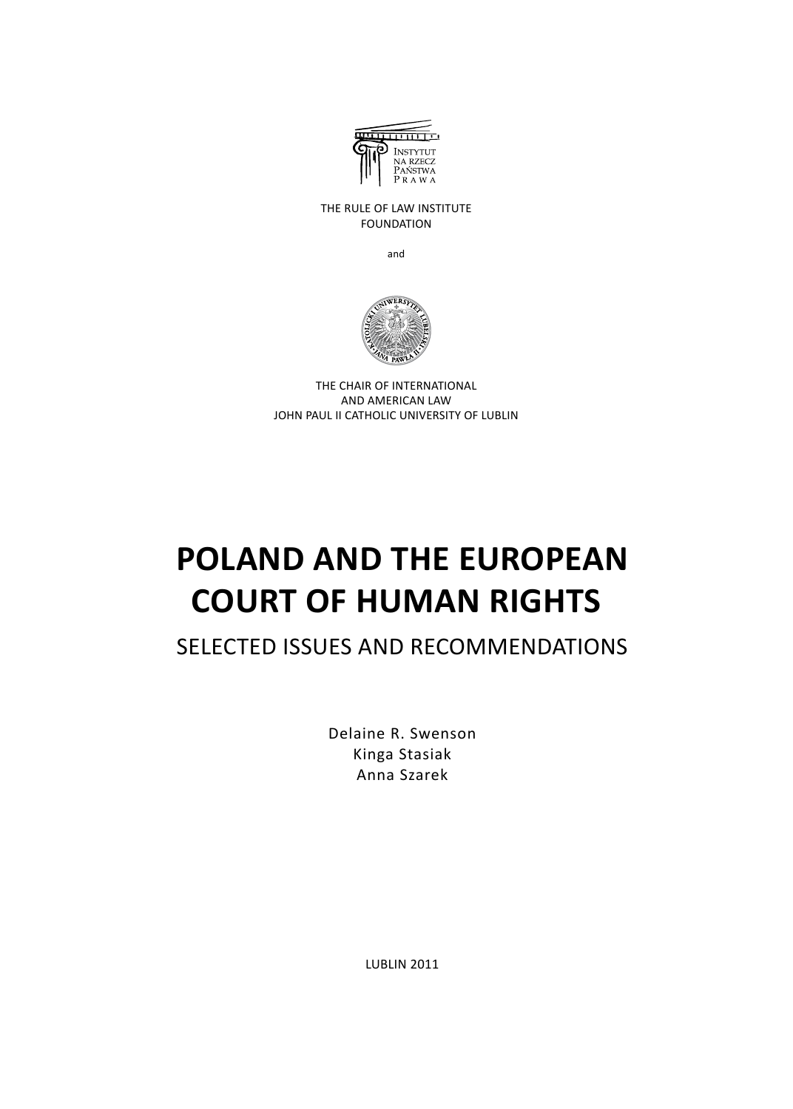

### THE RULE OF LAW INSTITUTE FOUNDATION

and



THE CHAIR OF INTERNATIONAL AND AMERICAN LAW JOHN PAUL II CATHOLIC UNIVERSITY OF LUBLIN

# **POLAND AND THE EUROPEAN COURT OF HUMAN RIGHTS**

# SELECTED ISSUES AND RECOMMENDATIONS

Delaine R. Swenson Kinga Stasiak Anna Szarek

Lublin 2011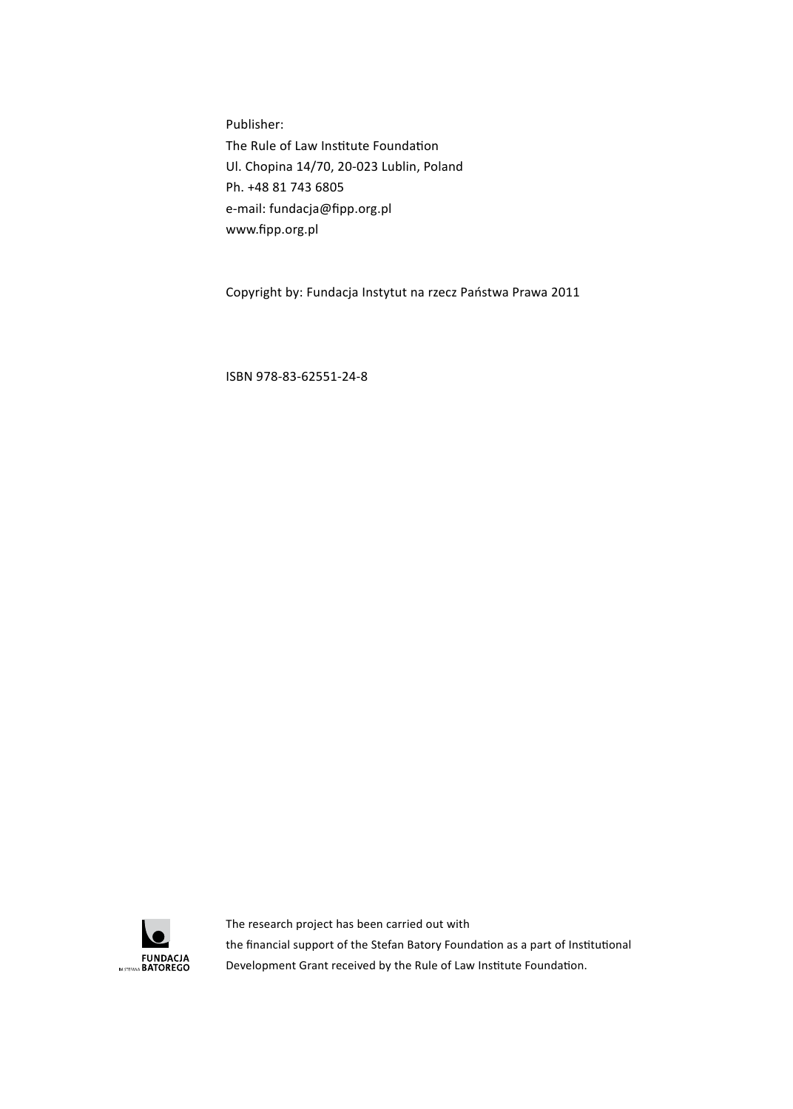Publisher: The Rule of Law Institute Foundation Ul. Chopina 14/70, 20-023 Lublin, Poland Ph. +48 81 743 6805 e-mail: fundacja@fipp.org.pl www.fipp.org.pl

Copyright by: Fundacja Instytut na rzecz Państwa Prawa 2011

ISBN 978-83-62551-24-8



The research project has been carried out with the financial support of the Stefan Batory Foundation as a part of Institutional Development Grant received by the Rule of Law Institute Foundation.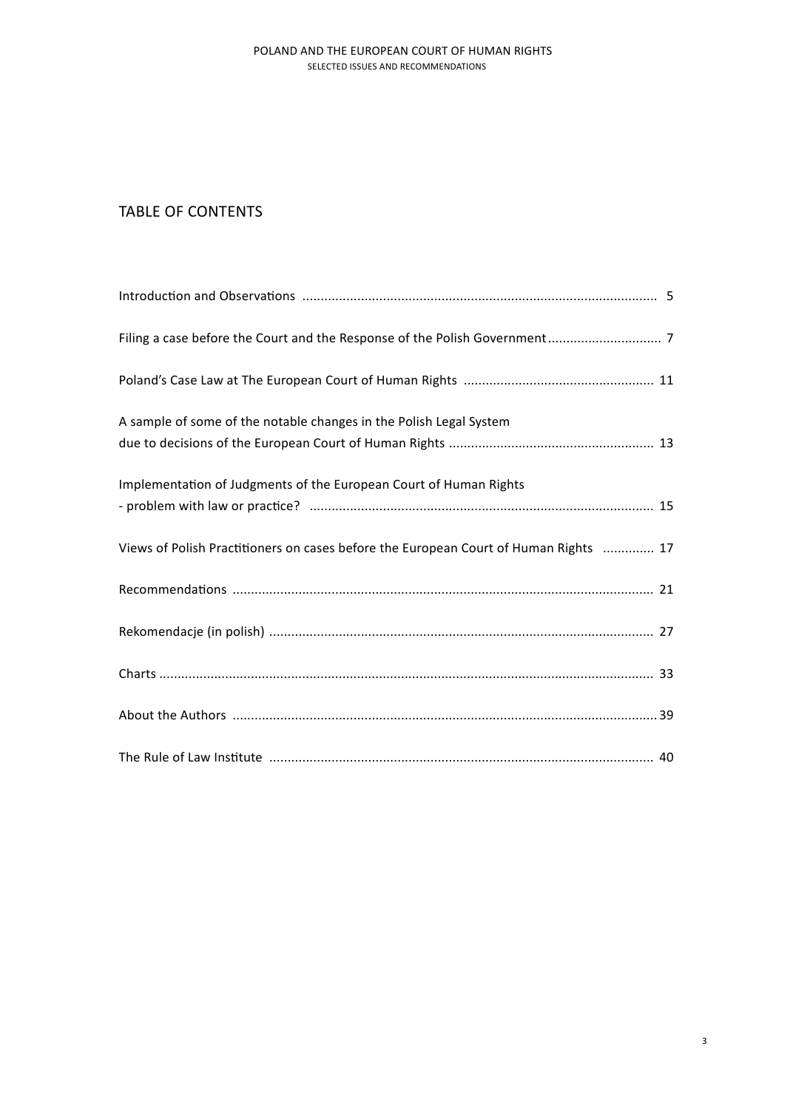# TABLE OF CONTENTS

| A sample of some of the notable changes in the Polish Legal System                   |
|--------------------------------------------------------------------------------------|
| Implementation of Judgments of the European Court of Human Rights                    |
| Views of Polish Practitioners on cases before the European Court of Human Rights  17 |
|                                                                                      |
|                                                                                      |
|                                                                                      |
|                                                                                      |
|                                                                                      |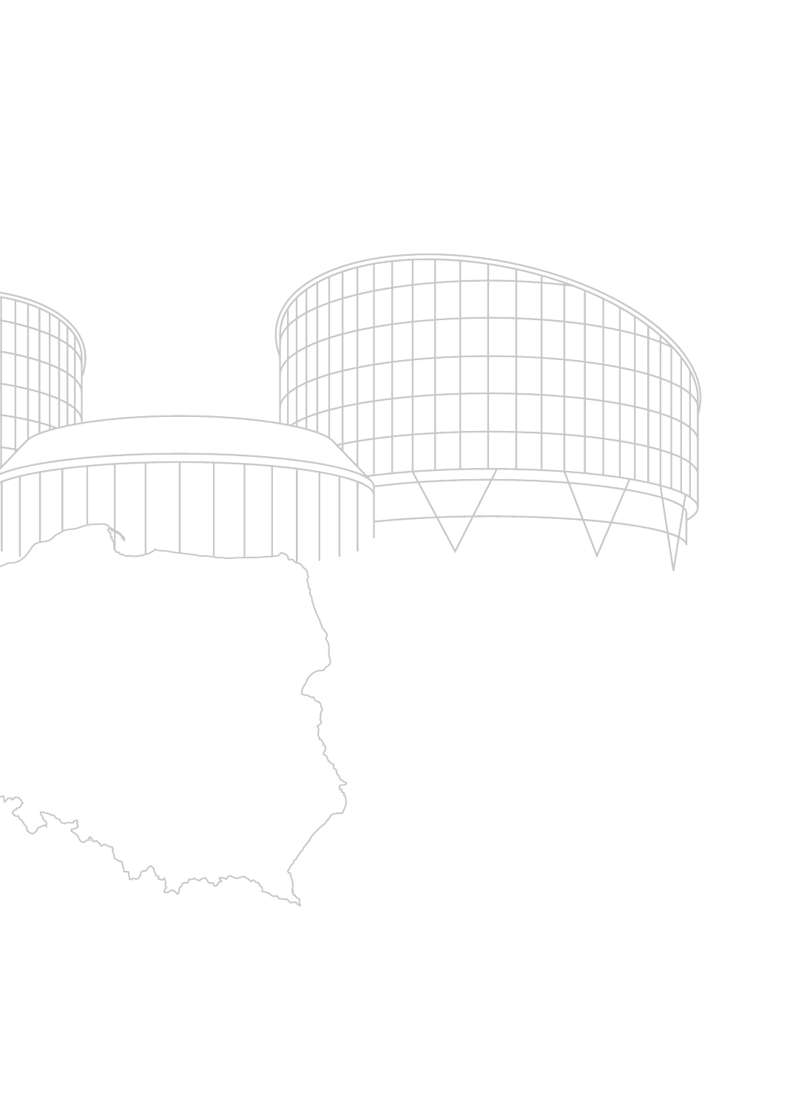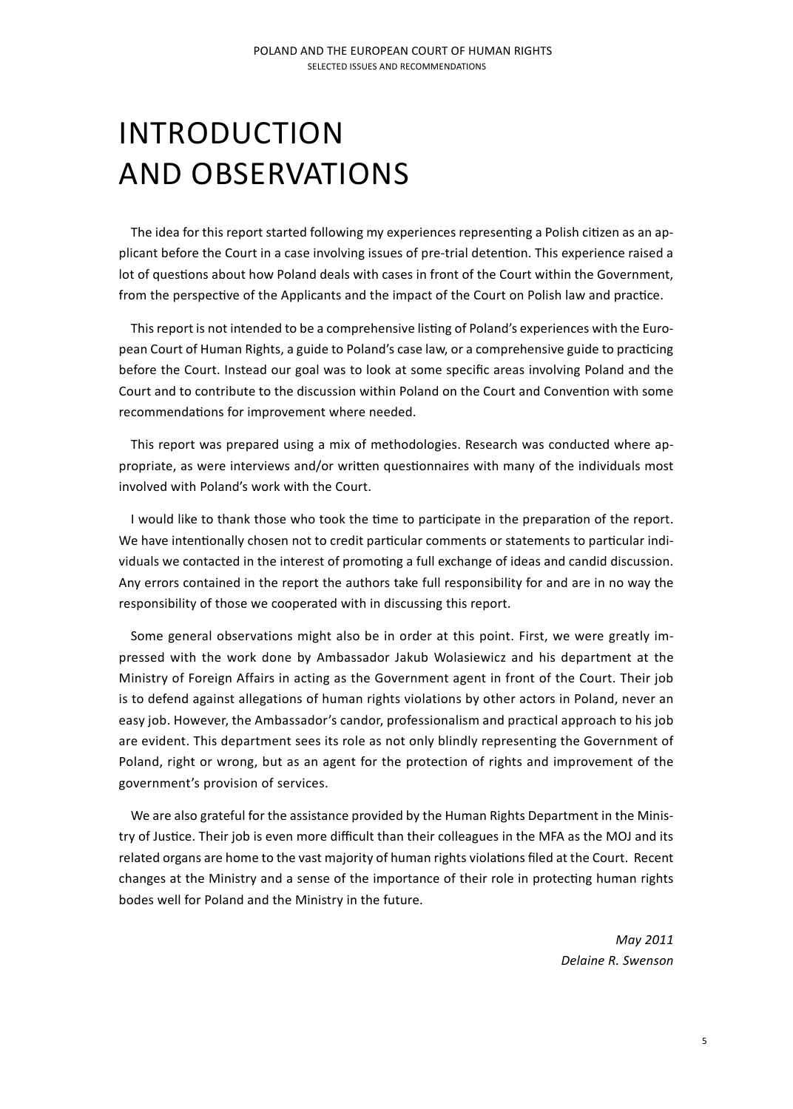# INTRODUCTION AND OBSERVATIONS

The idea for this report started following my experiences representing a Polish citizen as an applicant before the Court in a case involving issues of pre-trial detention. This experience raised a lot of questions about how Poland deals with cases in front of the Court within the Government, from the perspective of the Applicants and the impact of the Court on Polish law and practice.

This report is not intended to be a comprehensive listing of Poland's experiences with the European Court of Human Rights, a guide to Poland's case law, or a comprehensive guide to practicing before the Court. Instead our goal was to look at some specific areas involving Poland and the Court and to contribute to the discussion within Poland on the Court and Convention with some recommendations for improvement where needed.

This report was prepared using a mix of methodologies. Research was conducted where appropriate, as were interviews and/or written questionnaires with many of the individuals most involved with Poland's work with the Court.

I would like to thank those who took the time to participate in the preparation of the report. We have intentionally chosen not to credit particular comments or statements to particular individuals we contacted in the interest of promoting a full exchange of ideas and candid discussion. Any errors contained in the report the authors take full responsibility for and are in no way the responsibility of those we cooperated with in discussing this report.

Some general observations might also be in order at this point. First, we were greatly impressed with the work done by Ambassador Jakub Wolasiewicz and his department at the Ministry of Foreign Affairs in acting as the Government agent in front of the Court. Their job is to defend against allegations of human rights violations by other actors in Poland, never an easy job. However, the Ambassador's candor, professionalism and practical approach to his job are evident. This department sees its role as not only blindly representing the Government of Poland, right or wrong, but as an agent for the protection of rights and improvement of the government's provision of services.

We are also grateful for the assistance provided by the Human Rights Department in the Ministry of Justice. Their job is even more difficult than their colleagues in the MFA as the MOJ and its related organs are home to the vast majority of human rights violations filed at the Court. Recent changes at the Ministry and a sense of the importance of their role in protecting human rights bodes well for Poland and the Ministry in the future.

> *May 2011 Delaine R. Swenson*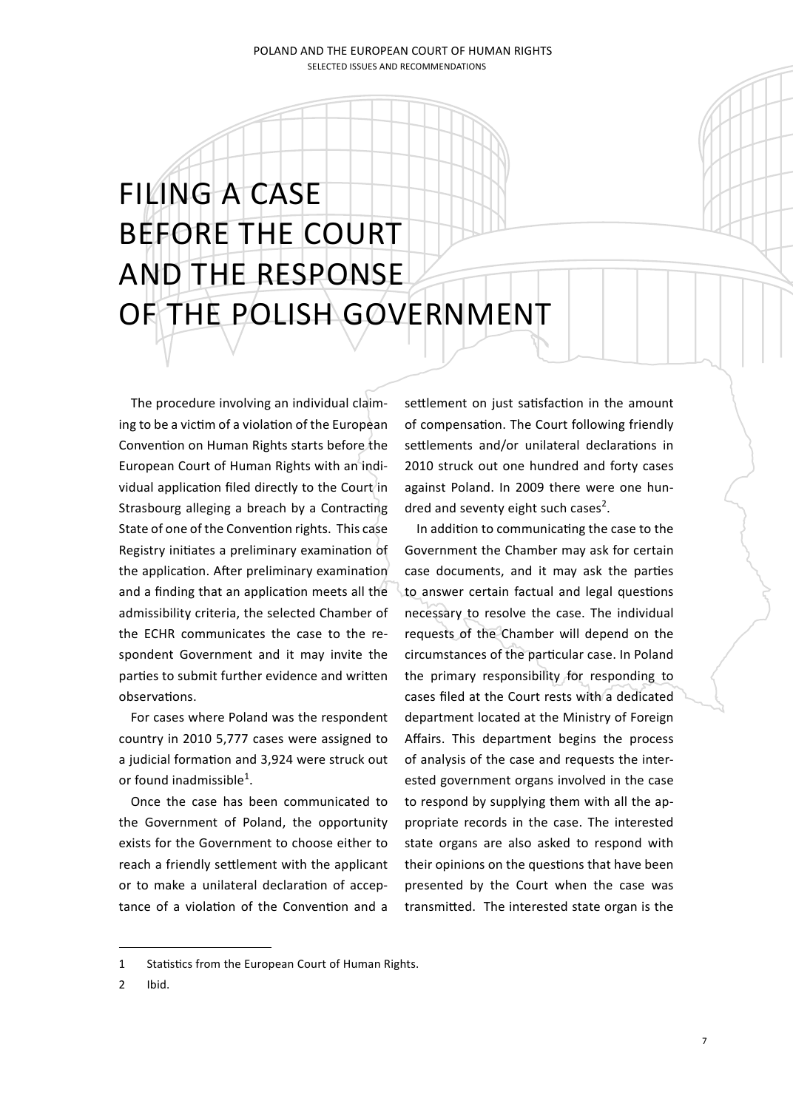# FILING A CASE BEFORE THE COURT AND THE RESPONSE OF THE POLISH GOVERNMENT

The procedure involving an individual claiming to be a victim of a violation of the European Convention on Human Rights starts before the European Court of Human Rights with an individual application filed directly to the Court in Strasbourg alleging a breach by a Contracting State of one of the Convention rights. This case Registry initiates a preliminary examination of the application. After preliminary examination and a finding that an application meets all the admissibility criteria, the selected Chamber of the ECHR communicates the case to the respondent Government and it may invite the parties to submit further evidence and written observations.

For cases where Poland was the respondent country in 2010 5,777 cases were assigned to a judicial formation and 3,924 were struck out or found inadmissible $^1$ .

Once the case has been communicated to the Government of Poland, the opportunity exists for the Government to choose either to reach a friendly settlement with the applicant or to make a unilateral declaration of acceptance of a violation of the Convention and a settlement on just satisfaction in the amount of compensation. The Court following friendly settlements and/or unilateral declarations in 2010 struck out one hundred and forty cases against Poland. In 2009 there were one hundred and seventy eight such cases<sup>2</sup>.

In addition to communicating the case to the Government the Chamber may ask for certain case documents, and it may ask the parties to answer certain factual and legal questions necessary to resolve the case. The individual requests of the Chamber will depend on the circumstances of the particular case. In Poland the primary responsibility for responding to cases filed at the Court rests with a dedicated department located at the Ministry of Foreign Affairs. This department begins the process of analysis of the case and requests the interested government organs involved in the case to respond by supplying them with all the appropriate records in the case. The interested state organs are also asked to respond with their opinions on the questions that have been presented by the Court when the case was transmitted. The interested state organ is the

<sup>1</sup> Statistics from the European Court of Human Rights.

<sup>2</sup> Ibid.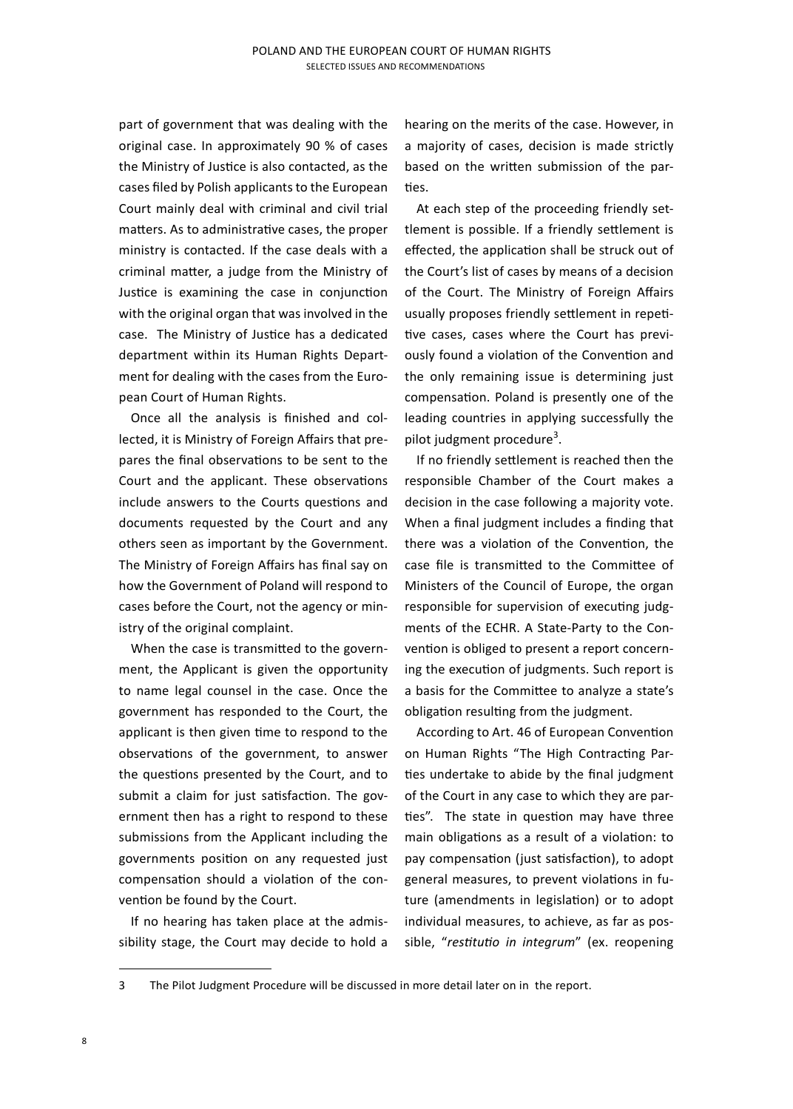part of government that was dealing with the original case. In approximately 90 % of cases the Ministry of Justice is also contacted, as the cases filed by Polish applicants to the European Court mainly deal with criminal and civil trial matters. As to administrative cases, the proper ministry is contacted. If the case deals with a criminal matter, a judge from the Ministry of Justice is examining the case in conjunction with the original organ that was involved in the case. The Ministry of Justice has a dedicated department within its Human Rights Department for dealing with the cases from the European Court of Human Rights.

Once all the analysis is finished and collected, it is Ministry of Foreign Affairs that prepares the final observations to be sent to the Court and the applicant. These observations include answers to the Courts questions and documents requested by the Court and any others seen as important by the Government. The Ministry of Foreign Affairs has final say on how the Government of Poland will respond to cases before the Court, not the agency or ministry of the original complaint.

When the case is transmitted to the government, the Applicant is given the opportunity to name legal counsel in the case. Once the government has responded to the Court, the applicant is then given time to respond to the observations of the government, to answer the questions presented by the Court, and to submit a claim for just satisfaction. The government then has a right to respond to these submissions from the Applicant including the governments position on any requested just compensation should a violation of the convention be found by the Court.

If no hearing has taken place at the admissibility stage, the Court may decide to hold a hearing on the merits of the case. However, in a majority of cases, decision is made strictly based on the written submission of the parties.

At each step of the proceeding friendly settlement is possible. If a friendly settlement is effected, the application shall be struck out of the Court's list of cases by means of a decision of the Court. The Ministry of Foreign Affairs usually proposes friendly settlement in repetitive cases, cases where the Court has previously found a violation of the Convention and the only remaining issue is determining just compensation. Poland is presently one of the leading countries in applying successfully the pilot judgment procedure<sup>3</sup>.

If no friendly settlement is reached then the responsible Chamber of the Court makes a decision in the case following a majority vote. When a final judgment includes a finding that there was a violation of the Convention, the case file is transmitted to the Committee of Ministers of the Council of Europe, the organ responsible for supervision of executing judgments of the ECHR. A State-Party to the Convention is obliged to present a report concerning the execution of judgments. Such report is a basis for the Committee to analyze a state's obligation resulting from the judgment.

According to Art. 46 of European Convention on Human Rights "The High Contracting Parties undertake to abide by the final judgment of the Court in any case to which they are parties". The state in question may have three main obligations as a result of a violation: to pay compensation (just satisfaction), to adopt general measures, to prevent violations in future (amendments in legislation) or to adopt individual measures, to achieve, as far as possible, "*restitutio in integrum*" (ex. reopening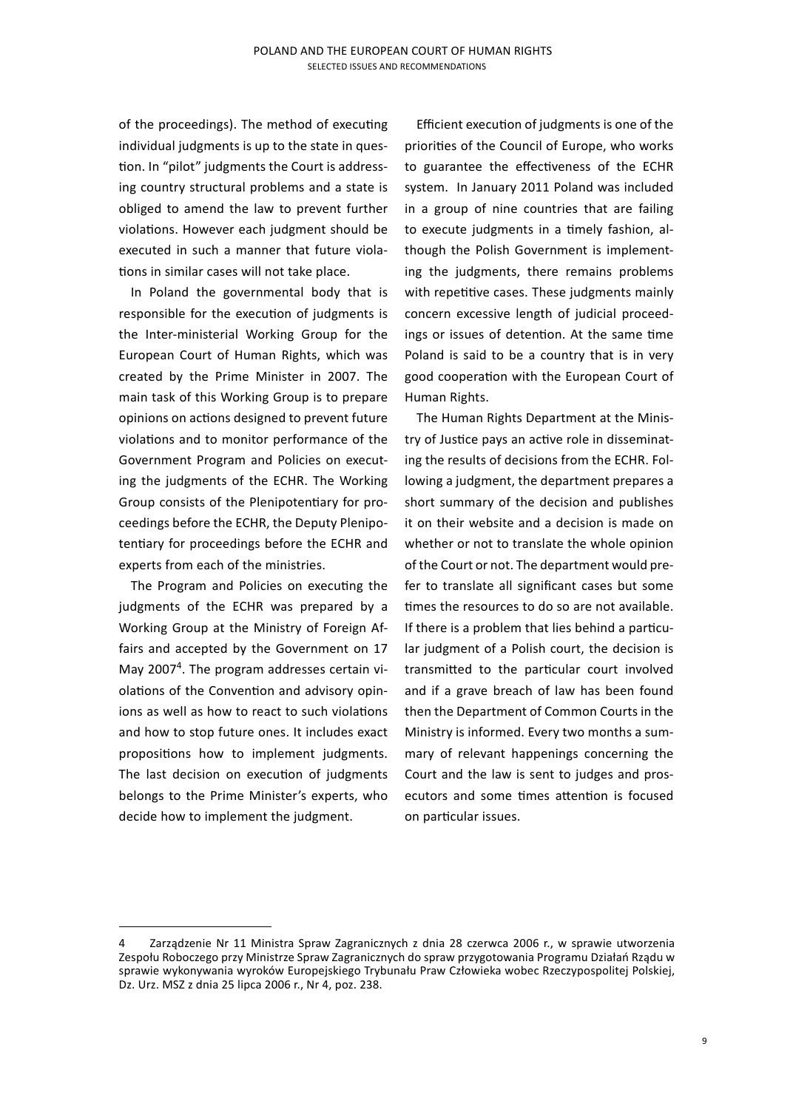of the proceedings). The method of executing individual judgments is up to the state in question. In "pilot" judgments the Court is addressing country structural problems and a state is obliged to amend the law to prevent further violations. However each judgment should be executed in such a manner that future violations in similar cases will not take place.

In Poland the governmental body that is responsible for the execution of judgments is the Inter-ministerial Working Group for the European Court of Human Rights, which was created by the Prime Minister in 2007. The main task of this Working Group is to prepare opinions on actions designed to prevent future violations and to monitor performance of the Government Program and Policies on executing the judgments of the ECHR. The Working Group consists of the Plenipotentiary for proceedings before the ECHR, the Deputy Plenipotentiary for proceedings before the ECHR and experts from each of the ministries.

The Program and Policies on executing the judgments of the ECHR was prepared by a Working Group at the Ministry of Foreign Affairs and accepted by the Government on 17 May 2007<sup>4</sup>. The program addresses certain violations of the Convention and advisory opinions as well as how to react to such violations and how to stop future ones. It includes exact propositions how to implement judgments. The last decision on execution of judgments belongs to the Prime Minister's experts, who decide how to implement the judgment.

Efficient execution of judgments is one of the priorities of the Council of Europe, who works to guarantee the effectiveness of the ECHR system. In January 2011 Poland was included in a group of nine countries that are failing to execute judgments in a timely fashion, although the Polish Government is implementing the judgments, there remains problems with repetitive cases. These judgments mainly concern excessive length of judicial proceedings or issues of detention. At the same time Poland is said to be a country that is in very good cooperation with the European Court of Human Rights.

The Human Rights Department at the Ministry of Justice pays an active role in disseminating the results of decisions from the ECHR. Following a judgment, the department prepares a short summary of the decision and publishes it on their website and a decision is made on whether or not to translate the whole opinion of the Court or not. The department would prefer to translate all significant cases but some times the resources to do so are not available. If there is a problem that lies behind a particular judgment of a Polish court, the decision is transmitted to the particular court involved and if a grave breach of law has been found then the Department of Common Courts in the Ministry is informed. Every two months a summary of relevant happenings concerning the Court and the law is sent to judges and prosecutors and some times attention is focused on particular issues.

<sup>4</sup> Zarządzenie Nr 11 Ministra Spraw Zagranicznych z dnia 28 czerwca 2006 r., w sprawie utworzenia Zespołu Roboczego przy Ministrze Spraw Zagranicznych do spraw przygotowania Programu Działań Rządu w sprawie wykonywania wyroków Europejskiego Trybunału Praw Człowieka wobec Rzeczypospolitej Polskiej, Dz. Urz. MSZ z dnia 25 lipca 2006 r., Nr 4, poz. 238.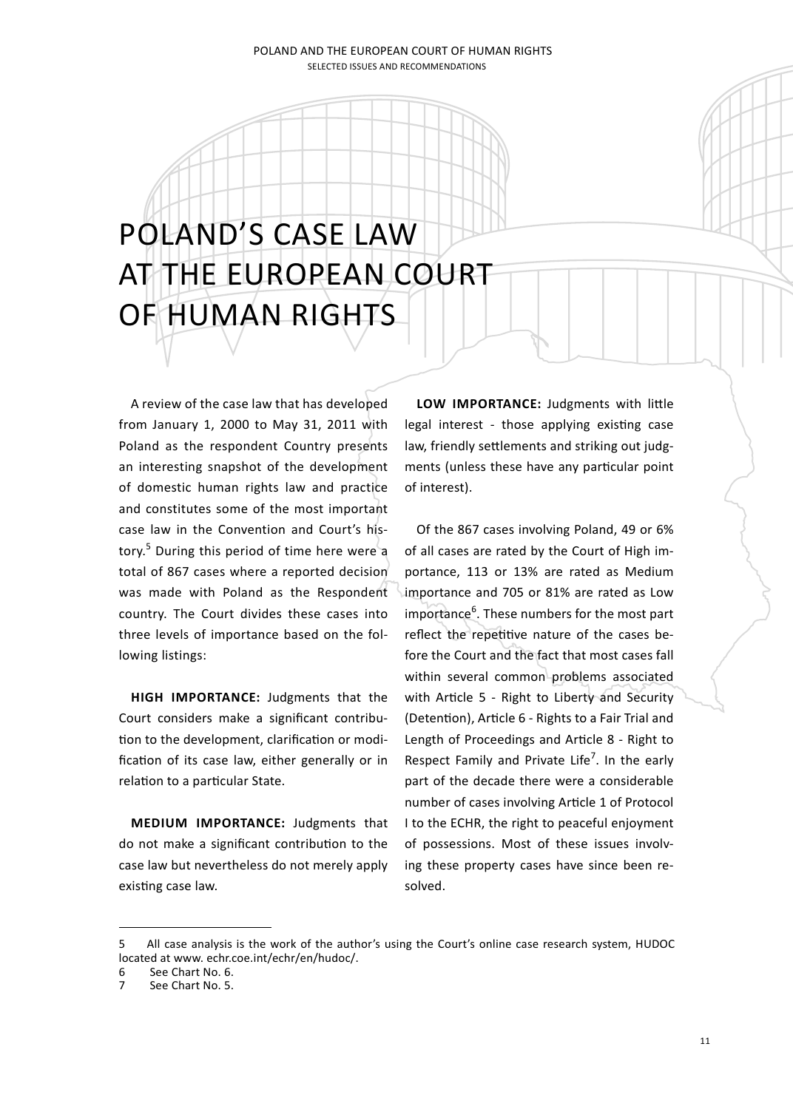# POLAND'S CASE LAW AT THE EUROPEAN COURT OF HUMAN RIGHTS

A review of the case law that has developed from January 1, 2000 to May 31, 2011 with Poland as the respondent Country presents an interesting snapshot of the development of domestic human rights law and practice and constitutes some of the most important case law in the Convention and Court's history.<sup>5</sup> During this period of time here were<sup>6</sup>a total of 867 cases where a reported decision was made with Poland as the Respondent country. The Court divides these cases into three levels of importance based on the following listings:

**High importance:** Judgments that the Court considers make a significant contribution to the development, clarification or modification of its case law, either generally or in relation to a particular State.

**Medium importance:** Judgments that do not make a significant contribution to the case law but nevertheless do not merely apply existing case law.

**Low importance:** Judgments with little legal interest - those applying existing case law, friendly settlements and striking out judgments (unless these have any particular point of interest).

Of the 867 cases involving Poland, 49 or 6% of all cases are rated by the Court of High importance, 113 or 13% are rated as Medium importance and 705 or 81% are rated as Low importance<sup>6</sup>. These numbers for the most part reflect the repetitive nature of the cases before the Court and the fact that most cases fall within several common problems associated with Article 5 - Right to Liberty and Security (Detention), Article 6 - Rights to a Fair Trial and Length of Proceedings and Article 8 - Right to Respect Family and Private Life<sup>7</sup>. In the early part of the decade there were a considerable number of cases involving Article 1 of Protocol I to the ECHR, the right to peaceful enjoyment of possessions. Most of these issues involving these property cases have since been resolved.

<sup>5</sup> All case analysis is the work of the author's using the Court's online case research system, HUDOC located at www. echr.coe.int/echr/en/hudoc/.

<sup>6</sup> See Chart No. 6.

<sup>7</sup> See Chart No. 5.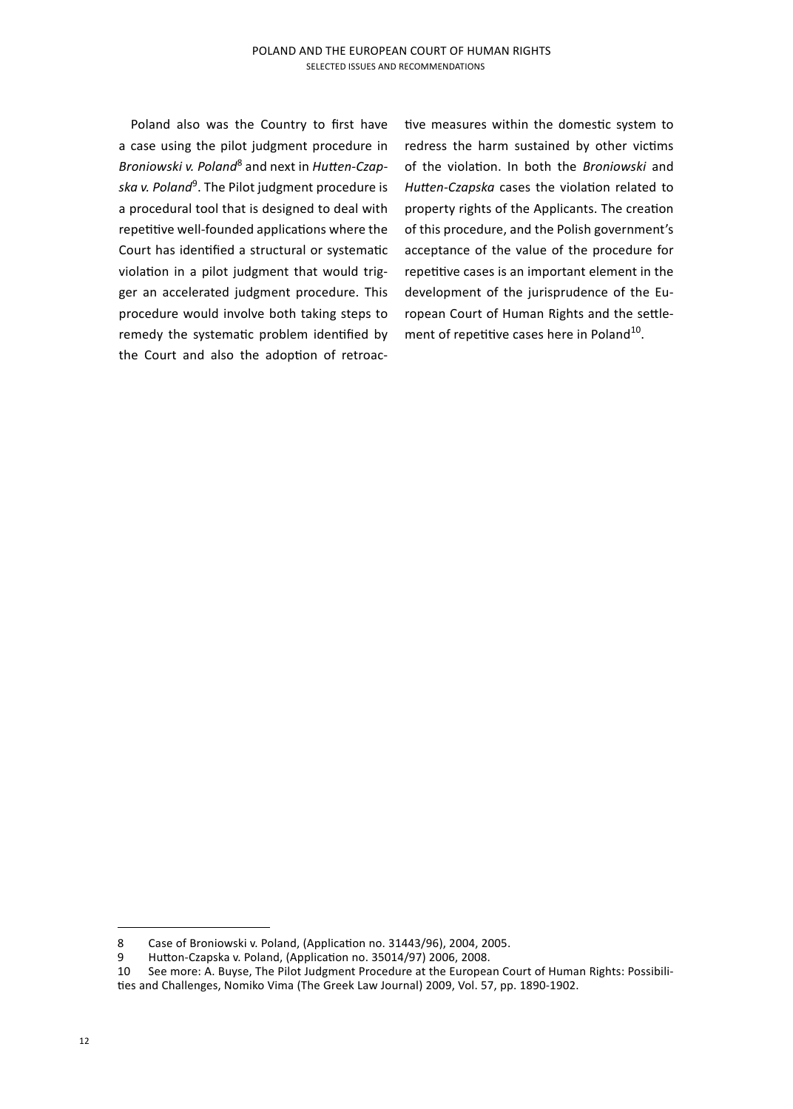Poland also was the Country to first have a case using the pilot judgment procedure in *Broniowski v. Poland*<sup>8</sup> and next in *Hutten-Czap*s*ka v. Poland<sup>9</sup>.* The Pilot judgment procedure is a procedural tool that is designed to deal with repetitive well-founded applications where the Court has identified a structural or systematic violation in a pilot judgment that would trigger an accelerated judgment procedure. This procedure would involve both taking steps to remedy the systematic problem identified by the Court and also the adoption of retroactive measures within the domestic system to redress the harm sustained by other victims of the violation. In both the *Broniowski* and *Hutten-Czapska* cases the violation related to property rights of the Applicants. The creation of this procedure, and the Polish government's acceptance of the value of the procedure for repetitive cases is an important element in the development of the jurisprudence of the European Court of Human Rights and the settlement of repetitive cases here in Poland<sup>10</sup>.

<sup>8</sup> Case of Broniowski v. Poland, (Application no. 31443/96), 2004, 2005.

<sup>9</sup> Hutton-Czapska v. Poland, (Application no. 35014/97) 2006, 2008.

<sup>10</sup> See more: A. Buyse, The Pilot Judgment Procedure at the European Court of Human Rights: Possibilities and Challenges, Nomiko Vima (The Greek Law Journal) 2009, Vol. 57, pp. 1890-1902.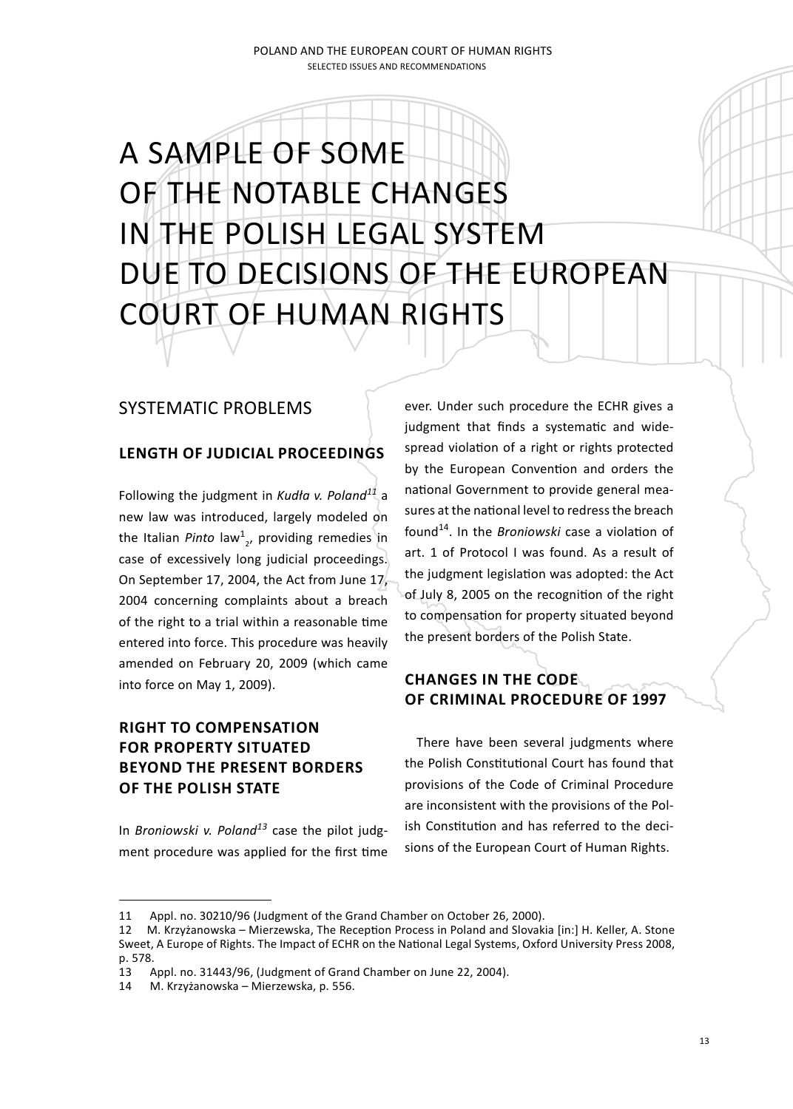# A SAMPLE OF SOME OF THE NOTABLE CHANGES IN THE POLISH LEGAL SYSTEM DUE TO DECISIONS OF THE EUROPEAN COURT OF HUMAN RIGHTS

# SYSTEMATIC PROBLEMS

### **Length of judicial proceedings**

Following the judgment in *Kudła v. Poland<sup>11</sup>* a new law was introduced, largely modeled on the Italian *Pinto* law<sup>1</sup><sub>2</sub>, providing remedies in case of excessively long judicial proceedings. On September 17, 2004, the Act from June 17, 2004 concerning complaints about a breach of the right to a trial within a reasonable time entered into force. This procedure was heavily amended on February 20, 2009 (which came into force on May 1, 2009).

# **Right to compensation for property situated beyond the present borders of the Polish State**

In *Broniowski v. Poland<sup>13</sup>* case the pilot judgment procedure was applied for the first time ever. Under such procedure the ECHR gives a judgment that finds a systematic and widespread violation of a right or rights protected by the European Convention and orders the national Government to provide general measures at the national level to redress the breach found14. In the *Broniowski* case a violation of art. 1 of Protocol I was found. As a result of the judgment legislation was adopted: the Act of July 8, 2005 on the recognition of the right to compensation for property situated beyond the present borders of the Polish State.

## **CHANGES IN THE CODE OF CRIMINAL PROCEDURE OF 1997**

There have been several judgments where the Polish Constitutional Court has found that provisions of the Code of Criminal Procedure are inconsistent with the provisions of the Polish Constitution and has referred to the decisions of the European Court of Human Rights.

<sup>11</sup> Appl. no. 30210/96 (Judgment of the Grand Chamber on October 26, 2000).

<sup>12</sup> M. Krzyżanowska – Mierzewska, The Reception Process in Poland and Slovakia [in:] H. Keller, A. Stone Sweet, A Europe of Rights. The Impact of ECHR on the National Legal Systems, Oxford University Press 2008, p. 578.

<sup>13</sup> Appl. no. 31443/96, (Judgment of Grand Chamber on June 22, 2004).

<sup>14</sup> M. Krzyżanowska – Mierzewska, p. 556.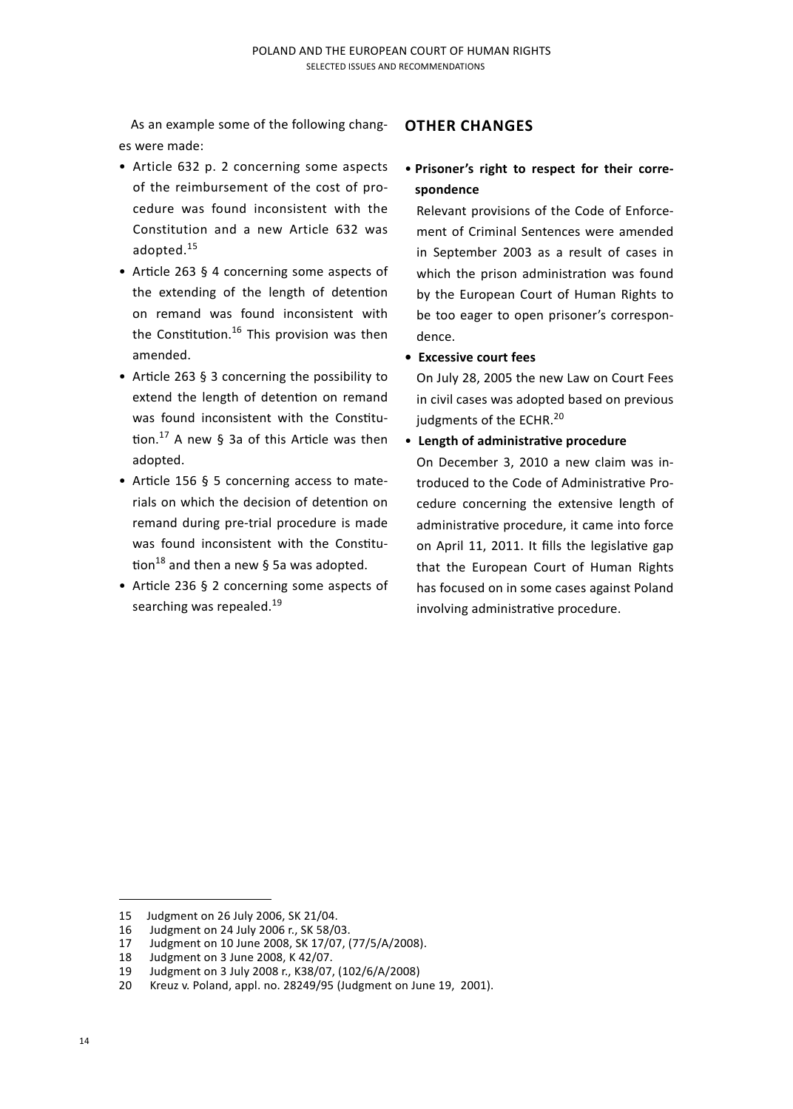As an example some of the following changes were made:

- Article 632 p. 2 concerning some aspects of the reimbursement of the cost of procedure was found inconsistent with the Constitution and a new Article 632 was adopted.<sup>15</sup>
- Article 263 § 4 concerning some aspects of the extending of the length of detention on remand was found inconsistent with the Constitution. $16$  This provision was then amended.
- Article 263 § 3 concerning the possibility to extend the length of detention on remand was found inconsistent with the Constitution.<sup>17</sup> A new § 3a of this Article was then adopted.
- Article 156 § 5 concerning access to materials on which the decision of detention on remand during pre-trial procedure is made was found inconsistent with the Constitution<sup>18</sup> and then a new § 5a was adopted.
- Article 236 § 2 concerning some aspects of searching was repealed.<sup>19</sup>

# **OTHER CHANGES**

• **Prisoner's right to respect for their correspondence** 

Relevant provisions of the Code of Enforcement of Criminal Sentences were amended in September 2003 as a result of cases in which the prison administration was found by the European Court of Human Rights to be too eager to open prisoner's correspondence.

### **• Excessive court fees**

On July 28, 2005 the new Law on Court Fees in civil cases was adopted based on previous judgments of the ECHR.<sup>20</sup>

### • **Length of administrative procedure**

On December 3, 2010 a new claim was introduced to the Code of Administrative Procedure concerning the extensive length of administrative procedure, it came into force on April 11, 2011. It fills the legislative gap that the European Court of Human Rights has focused on in some cases against Poland involving administrative procedure.

<sup>15</sup> Judgment on 26 July 2006, SK 21/04.

<sup>16</sup> Judgment on 24 July 2006 r., SK 58/03.

<sup>17</sup> Judgment on 10 June 2008, SK 17/07, (77/5/A/2008).

<sup>18</sup> Judgment on 3 June 2008, K 42/07.

<sup>19</sup> Judgment on 3 July 2008 r., K38/07, (102/6/A/2008)

<sup>20</sup> Kreuz v. Poland, appl. no. 28249/95 (Judgment on June 19, 2001).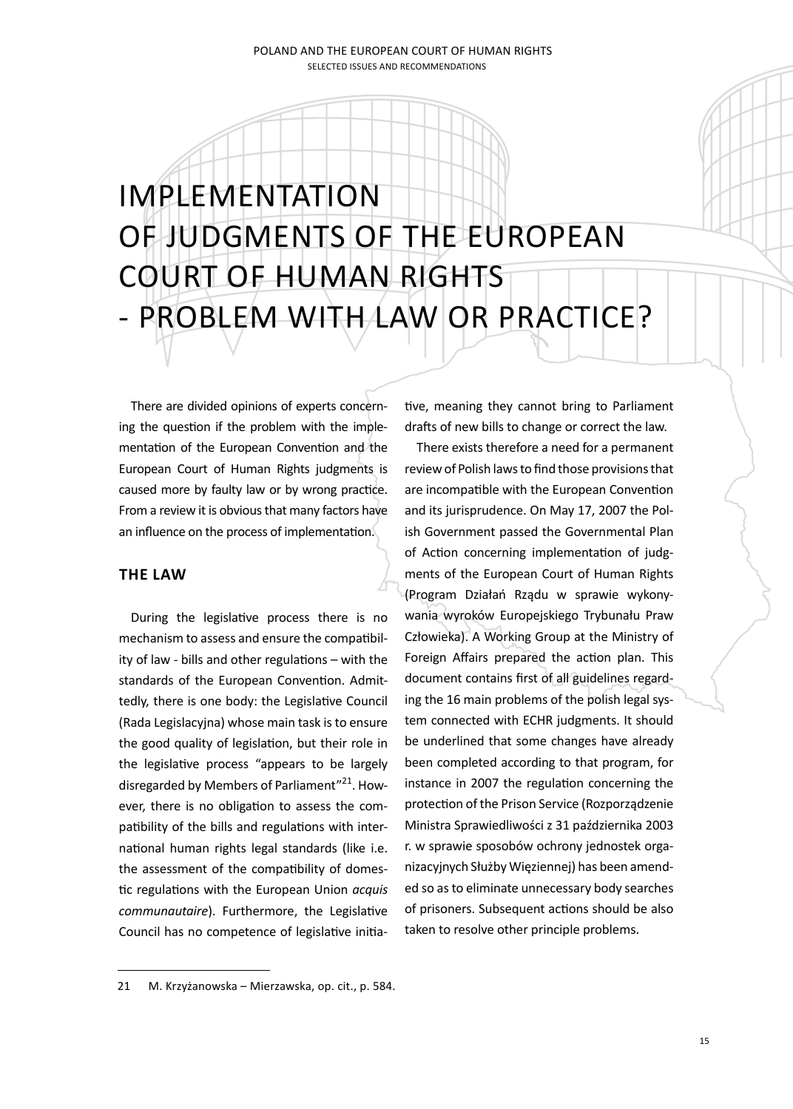# IMPLEMENTATION OF JUDGMENTS OF THE EUROPEAN COURT OF HUMAN RIGHTS - PROBLEM WITH LAW OR PRACTICE?

There are divided opinions of experts concerning the question if the problem with the implementation of the European Convention and the European Court of Human Rights judgments is caused more by faulty law or by wrong practice. From a review it is obvious that many factors have an influence on the process of implementation.

### **THE LAW**

During the legislative process there is no mechanism to assess and ensure the compatibility of law - bills and other regulations – with the standards of the European Convention. Admittedly, there is one body: the Legislative Council (Rada Legislacyjna) whose main task is to ensure the good quality of legislation, but their role in the legislative process "appears to be largely disregarded by Members of Parliament"<sup>21</sup>. However, there is no obligation to assess the compatibility of the bills and regulations with international human rights legal standards (like i.e. the assessment of the compatibility of domestic regulations with the European Union *acquis communautaire*). Furthermore, the Legislative Council has no competence of legislative initiative, meaning they cannot bring to Parliament drafts of new bills to change or correct the law.

There exists therefore a need for a permanent review of Polish laws to find those provisions that are incompatible with the European Convention and its jurisprudence. On May 17, 2007 the Polish Government passed the Governmental Plan of Action concerning implementation of judgments of the European Court of Human Rights (Program Działań Rządu w sprawie wykonywania wyroków Europejskiego Trybunału Praw Człowieka). A Working Group at the Ministry of Foreign Affairs prepared the action plan. This document contains first of all guidelines regarding the 16 main problems of the polish legal system connected with ECHR judgments. It should be underlined that some changes have already been completed according to that program, for instance in 2007 the regulation concerning the protection of the Prison Service (Rozporządzenie Ministra Sprawiedliwości z 31 października 2003 r. w sprawie sposobów ochrony jednostek organizacyjnych Służby Więziennej) has been amended so as to eliminate unnecessary body searches of prisoners. Subsequent actions should be also taken to resolve other principle problems.

<sup>21</sup> M. Krzyżanowska – Mierzawska, op. cit., p. 584.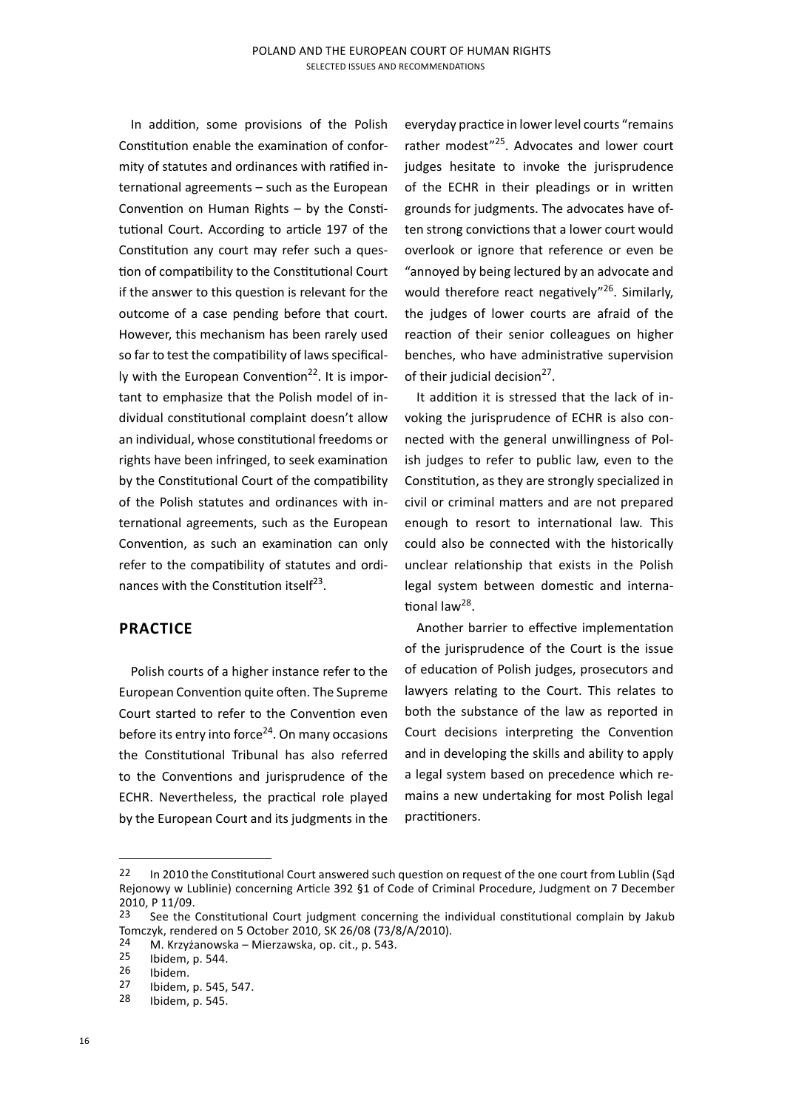In addition, some provisions of the Polish Constitution enable the examination of conformity of statutes and ordinances with ratified international agreements – such as the European Convention on Human Rights – by the Constitutional Court. According to article 197 of the Constitution any court may refer such a question of compatibility to the Constitutional Court if the answer to this question is relevant for the outcome of a case pending before that court. However, this mechanism has been rarely used so far to test the compatibility of laws specifically with the European Convention<sup>22</sup>. It is important to emphasize that the Polish model of individual constitutional complaint doesn't allow an individual, whose constitutional freedoms or rights have been infringed, to seek examination by the Constitutional Court of the compatibility of the Polish statutes and ordinances with international agreements, such as the European Convention, as such an examination can only refer to the compatibility of statutes and ordinances with the Constitution itself<sup>23</sup>.

## **PRACTICE**

Polish courts of a higher instance refer to the European Convention quite often. The Supreme Court started to refer to the Convention even before its entry into force<sup>24</sup>. On many occasions the Constitutional Tribunal has also referred to the Conventions and jurisprudence of the ECHR. Nevertheless, the practical role played by the European Court and its judgments in the

everyday practice in lower level courts "remains rather modest"<sup>25</sup>. Advocates and lower court judges hesitate to invoke the jurisprudence of the ECHR in their pleadings or in written grounds for judgments. The advocates have often strong convictions that a lower court would overlook or ignore that reference or even be "annoyed by being lectured by an advocate and would therefore react negatively"<sup>26</sup>. Similarly, the judges of lower courts are afraid of the reaction of their senior colleagues on higher benches, who have administrative supervision of their judicial decision<sup>27</sup>.

It addition it is stressed that the lack of invoking the jurisprudence of ECHR is also connected with the general unwillingness of Polish judges to refer to public law, even to the Constitution, as they are strongly specialized in civil or criminal matters and are not prepared enough to resort to international law. This could also be connected with the historically unclear relationship that exists in the Polish legal system between domestic and international law<sup>28</sup>.

Another barrier to effective implementation of the jurisprudence of the Court is the issue of education of Polish judges, prosecutors and lawyers relating to the Court. This relates to both the substance of the law as reported in Court decisions interpreting the Convention and in developing the skills and ability to apply a legal system based on precedence which remains a new undertaking for most Polish legal practitioners.

<sup>22</sup> In 2010 the Constitutional Court answered such question on request of the one court from Lublin (Sąd Rejonowy w Lublinie) concerning Article 392 §1 of Code of Criminal Procedure, Judgment on 7 December 2010, P 11/09.

<sup>&</sup>lt;sup>23</sup> See the Constitutional Court judgment concerning the individual constitutional complain by Jakub Tomczyk, rendered on 5 October 2010, SK 26/08 (73/8/A/2010).<br>24 Marty in Rendered Americanska on city n 543

<sup>24</sup> M. Krzyżanowska – Mierzawska, op. cit., p. 543.<br>25 libidem n 544

 $25$  Ibidem, p. 544.<br> $26$  Ibidem

 $26$  Ibidem.<br>27 Ibidem

<sup>27</sup> Ibidem, p. 545, 547.<br>28 Ibidem n 545

Ibidem, p. 545.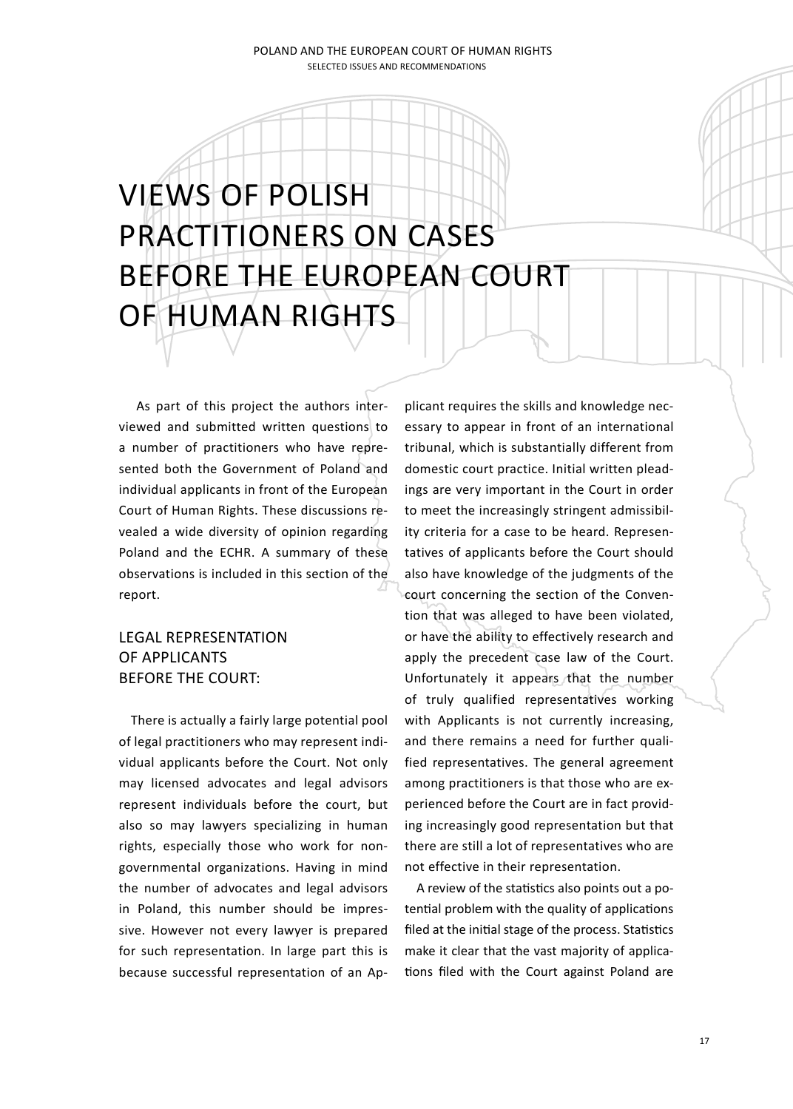# VIEWS OF POLISH PRACTITIONERS ON CASES BEFORE THE EUROPEAN COURT OF HUMAN RIGHTS

 As part of this project the authors interviewed and submitted written questions to a number of practitioners who have represented both the Government of Poland and individual applicants in front of the European Court of Human Rights. These discussions revealed a wide diversity of opinion regarding Poland and the ECHR. A summary of these observations is included in this section of the report.

## Legal representation of Applicants before the Court:

There is actually a fairly large potential pool of legal practitioners who may represent individual applicants before the Court. Not only may licensed advocates and legal advisors represent individuals before the court, but also so may lawyers specializing in human rights, especially those who work for nongovernmental organizations. Having in mind the number of advocates and legal advisors in Poland, this number should be impressive. However not every lawyer is prepared for such representation. In large part this is because successful representation of an Applicant requires the skills and knowledge necessary to appear in front of an international tribunal, which is substantially different from domestic court practice. Initial written pleadings are very important in the Court in order to meet the increasingly stringent admissibility criteria for a case to be heard. Representatives of applicants before the Court should also have knowledge of the judgments of the court concerning the section of the Convention that was alleged to have been violated, or have the ability to effectively research and apply the precedent case law of the Court. Unfortunately it appears that the number of truly qualified representatives working with Applicants is not currently increasing, and there remains a need for further qualified representatives. The general agreement among practitioners is that those who are experienced before the Court are in fact providing increasingly good representation but that there are still a lot of representatives who are not effective in their representation.

A review of the statistics also points out a potential problem with the quality of applications filed at the initial stage of the process. Statistics make it clear that the vast majority of applications filed with the Court against Poland are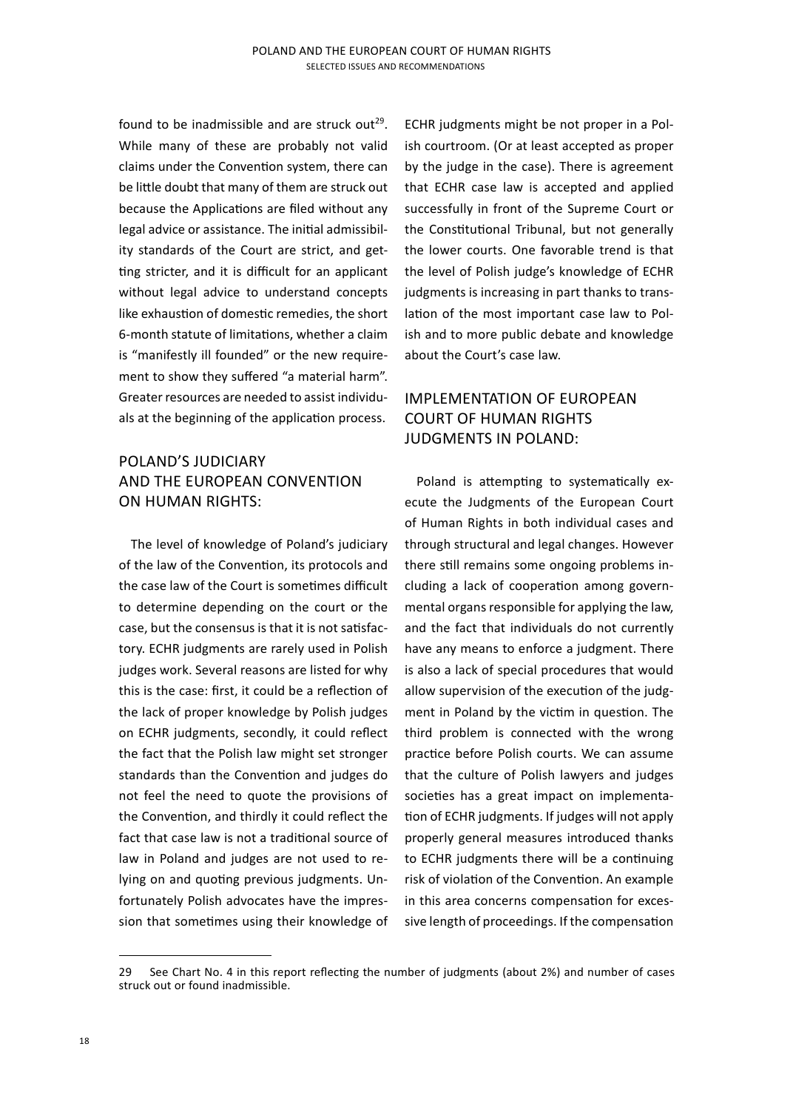found to be inadmissible and are struck out $^{29}$ . While many of these are probably not valid claims under the Convention system, there can be little doubt that many of them are struck out because the Applications are filed without any legal advice or assistance. The initial admissibility standards of the Court are strict, and getting stricter, and it is difficult for an applicant without legal advice to understand concepts like exhaustion of domestic remedies, the short 6-month statute of limitations, whether a claim is "manifestly ill founded" or the new requirement to show they suffered "a material harm". Greater resources are needed to assist individuals at the beginning of the application process.

# Poland's Judiciary and the European Convention on Human Rights:

The level of knowledge of Poland's judiciary of the law of the Convention, its protocols and the case law of the Court is sometimes difficult to determine depending on the court or the case, but the consensus is that it is not satisfactory. ECHR judgments are rarely used in Polish judges work. Several reasons are listed for why this is the case: first, it could be a reflection of the lack of proper knowledge by Polish judges on ECHR judgments, secondly, it could reflect the fact that the Polish law might set stronger standards than the Convention and judges do not feel the need to quote the provisions of the Convention, and thirdly it could reflect the fact that case law is not a traditional source of law in Poland and judges are not used to relying on and quoting previous judgments. Unfortunately Polish advocates have the impression that sometimes using their knowledge of ECHR judgments might be not proper in a Polish courtroom. (Or at least accepted as proper by the judge in the case). There is agreement that ECHR case law is accepted and applied successfully in front of the Supreme Court or the Constitutional Tribunal, but not generally the lower courts. One favorable trend is that the level of Polish judge's knowledge of ECHR judgments is increasing in part thanks to translation of the most important case law to Polish and to more public debate and knowledge about the Court's case law.

# Implementation of European Court of Human Rights Judgments in Poland:

Poland is attempting to systematically execute the Judgments of the European Court of Human Rights in both individual cases and through structural and legal changes. However there still remains some ongoing problems including a lack of cooperation among governmental organs responsible for applying the law, and the fact that individuals do not currently have any means to enforce a judgment. There is also a lack of special procedures that would allow supervision of the execution of the judgment in Poland by the victim in question. The third problem is connected with the wrong practice before Polish courts. We can assume that the culture of Polish lawyers and judges societies has a great impact on implementation of ECHR judgments. If judges will not apply properly general measures introduced thanks to ECHR judgments there will be a continuing risk of violation of the Convention. An example in this area concerns compensation for excessive length of proceedings. If the compensation

<sup>29</sup> See Chart No. 4 in this report reflecting the number of judgments (about 2%) and number of cases struck out or found inadmissible.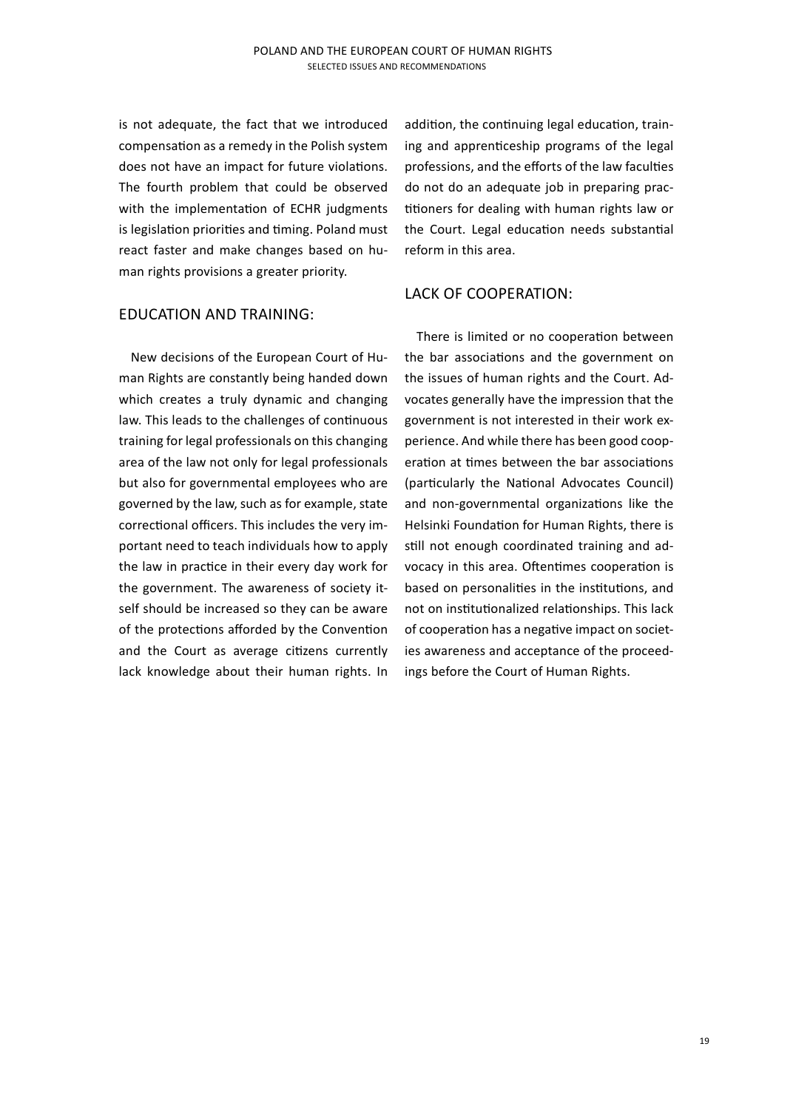is not adequate, the fact that we introduced compensation as a remedy in the Polish system does not have an impact for future violations. The fourth problem that could be observed with the implementation of ECHR judgments is legislation priorities and timing. Poland must react faster and make changes based on human rights provisions a greater priority.

### Education and Training:

New decisions of the European Court of Human Rights are constantly being handed down which creates a truly dynamic and changing law. This leads to the challenges of continuous training for legal professionals on this changing area of the law not only for legal professionals but also for governmental employees who are governed by the law, such as for example, state correctional officers. This includes the very important need to teach individuals how to apply the law in practice in their every day work for the government. The awareness of society itself should be increased so they can be aware of the protections afforded by the Convention and the Court as average citizens currently lack knowledge about their human rights. In

addition, the continuing legal education, training and apprenticeship programs of the legal professions, and the efforts of the law faculties do not do an adequate job in preparing practitioners for dealing with human rights law or the Court. Legal education needs substantial reform in this area.

### Lack of Cooperation:

There is limited or no cooperation between the bar associations and the government on the issues of human rights and the Court. Advocates generally have the impression that the government is not interested in their work experience. And while there has been good cooperation at times between the bar associations (particularly the National Advocates Council) and non-governmental organizations like the Helsinki Foundation for Human Rights, there is still not enough coordinated training and advocacy in this area. Oftentimes cooperation is based on personalities in the institutions, and not on institutionalized relationships. This lack of cooperation has a negative impact on societies awareness and acceptance of the proceedings before the Court of Human Rights.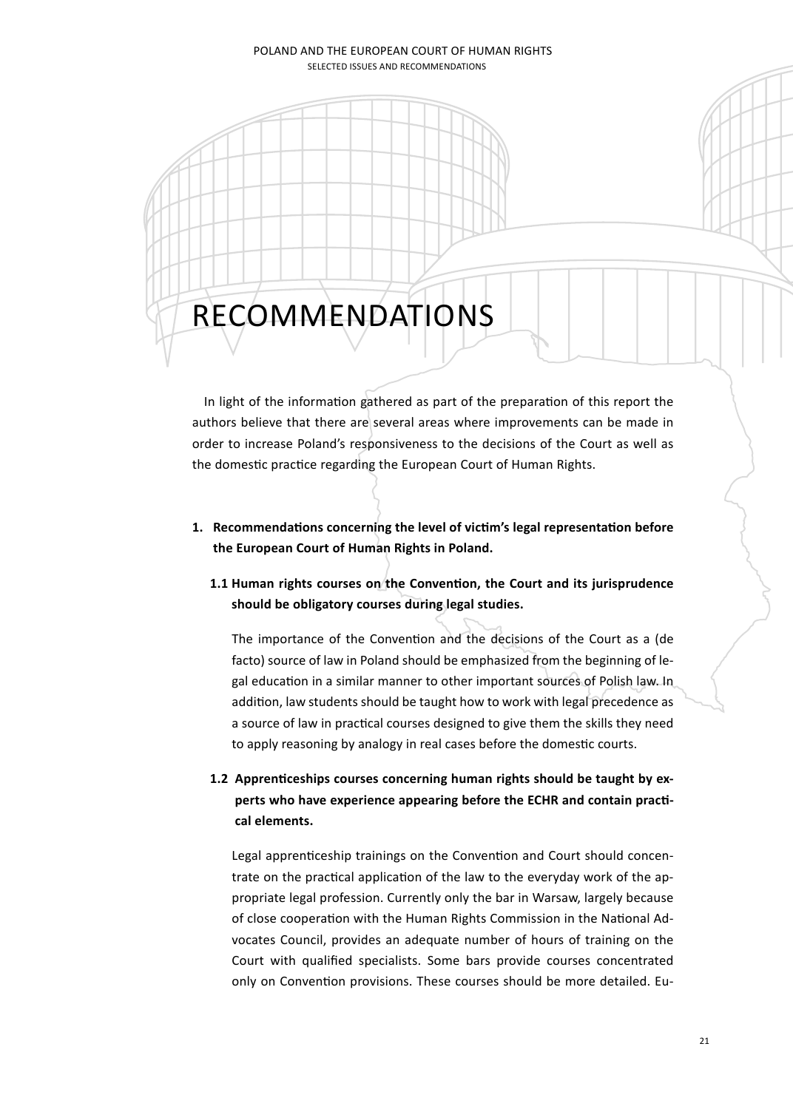# RECOMMENDATIONS

In light of the information gathered as part of the preparation of this report the authors believe that there are several areas where improvements can be made in order to increase Poland's responsiveness to the decisions of the Court as well as the domestic practice regarding the European Court of Human Rights.

- **1. Recommendations concerning the level of victim's legal representation before the European Court of Human Rights in Poland.** 
	- **1.1 Human rights courses on the Convention, the Court and its jurisprudence should be obligatory courses during legal studies.**

The importance of the Convention and the decisions of the Court as a (de facto) source of law in Poland should be emphasized from the beginning of legal education in a similar manner to other important sources of Polish law. In addition, law students should be taught how to work with legal precedence as a source of law in practical courses designed to give them the skills they need to apply reasoning by analogy in real cases before the domestic courts.

**1.2 Apprenticeships courses concerning human rights should be taught by experts who have experience appearing before the ECHR and contain practical elements.**

Legal apprenticeship trainings on the Convention and Court should concentrate on the practical application of the law to the everyday work of the appropriate legal profession. Currently only the bar in Warsaw, largely because of close cooperation with the Human Rights Commission in the National Advocates Council, provides an adequate number of hours of training on the Court with qualified specialists. Some bars provide courses concentrated only on Convention provisions. These courses should be more detailed. Eu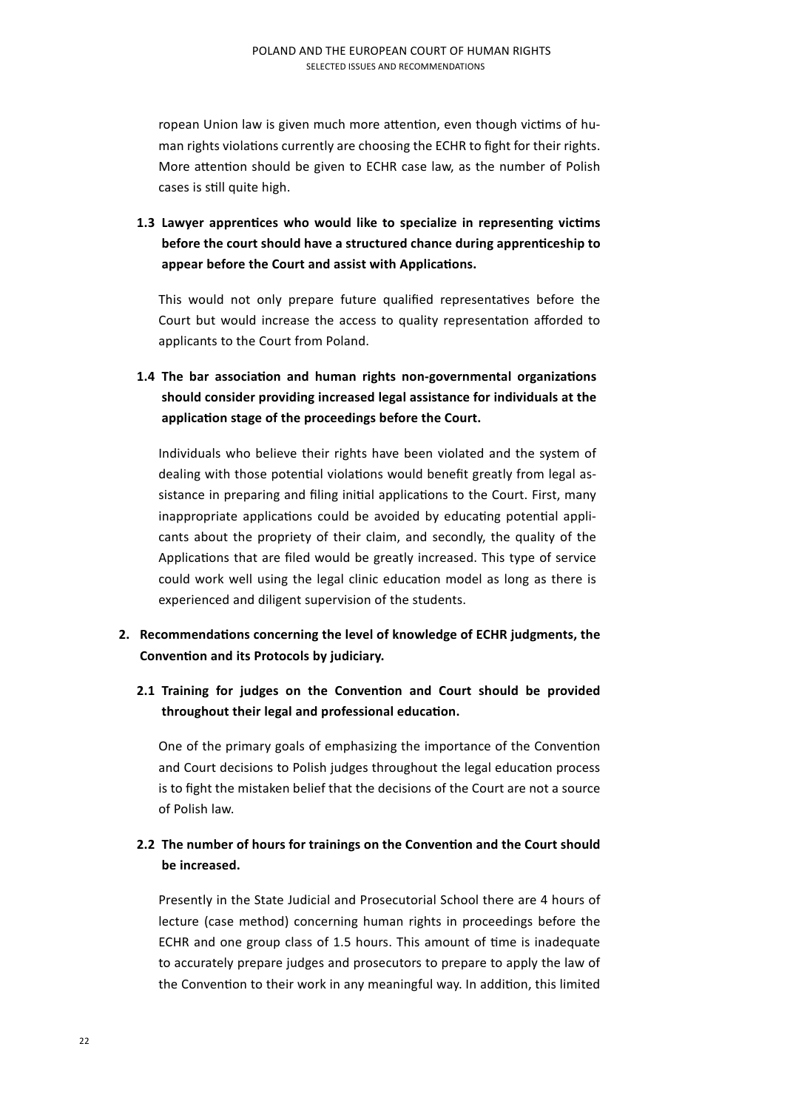ropean Union law is given much more attention, even though victims of human rights violations currently are choosing the ECHR to fight for their rights. More attention should be given to ECHR case law, as the number of Polish cases is still quite high.

**1.3 Lawyer apprentices who would like to specialize in representing victims before the court should have a structured chance during apprenticeship to appear before the Court and assist with Applications.**

This would not only prepare future qualified representatives before the Court but would increase the access to quality representation afforded to applicants to the Court from Poland.

**1.4 The bar association and human rights non-governmental organizations should consider providing increased legal assistance for individuals at the application stage of the proceedings before the Court.** 

Individuals who believe their rights have been violated and the system of dealing with those potential violations would benefit greatly from legal assistance in preparing and filing initial applications to the Court. First, many inappropriate applications could be avoided by educating potential applicants about the propriety of their claim, and secondly, the quality of the Applications that are filed would be greatly increased. This type of service could work well using the legal clinic education model as long as there is experienced and diligent supervision of the students.

- **2. Recommendations concerning the level of knowledge of ECHR judgments, the Convention and its Protocols by judiciary.** 
	- **2.1 Training for judges on the Convention and Court should be provided throughout their legal and professional education.**

One of the primary goals of emphasizing the importance of the Convention and Court decisions to Polish judges throughout the legal education process is to fight the mistaken belief that the decisions of the Court are not a source of Polish law.

## **2.2 The number of hours for trainings on the Convention and the Court should be increased.**

Presently in the State Judicial and Prosecutorial School there are 4 hours of lecture (case method) concerning human rights in proceedings before the ECHR and one group class of 1.5 hours. This amount of time is inadequate to accurately prepare judges and prosecutors to prepare to apply the law of the Convention to their work in any meaningful way. In addition, this limited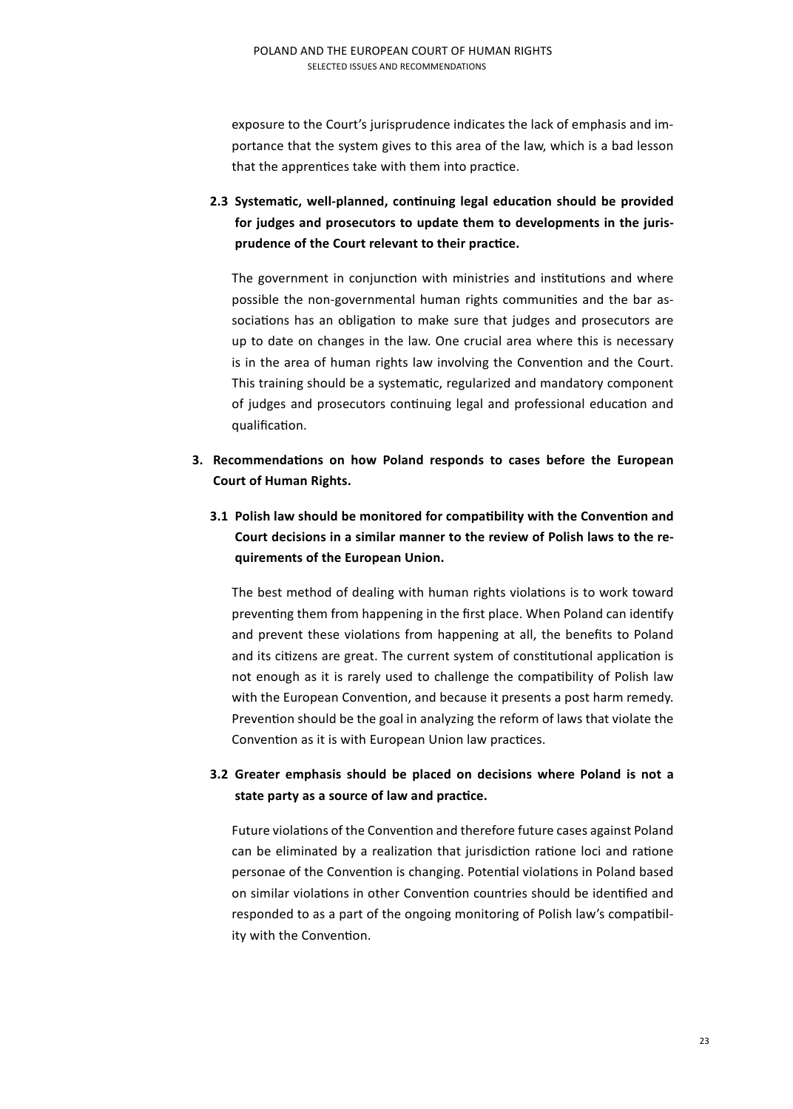exposure to the Court's jurisprudence indicates the lack of emphasis and importance that the system gives to this area of the law, which is a bad lesson that the apprentices take with them into practice.

**2.3 Systematic, well-planned, continuing legal education should be provided for judges and prosecutors to update them to developments in the jurisprudence of the Court relevant to their practice.** 

The government in conjunction with ministries and institutions and where possible the non-governmental human rights communities and the bar associations has an obligation to make sure that judges and prosecutors are up to date on changes in the law. One crucial area where this is necessary is in the area of human rights law involving the Convention and the Court. This training should be a systematic, regularized and mandatory component of judges and prosecutors continuing legal and professional education and qualification.

- **3. Recommendations on how Poland responds to cases before the European Court of Human Rights.** 
	- **3.1 Polish law should be monitored for compatibility with the Convention and Court decisions in a similar manner to the review of Polish laws to the requirements of the European Union.**

The best method of dealing with human rights violations is to work toward preventing them from happening in the first place. When Poland can identify and prevent these violations from happening at all, the benefits to Poland and its citizens are great. The current system of constitutional application is not enough as it is rarely used to challenge the compatibility of Polish law with the European Convention, and because it presents a post harm remedy. Prevention should be the goal in analyzing the reform of laws that violate the Convention as it is with European Union law practices.

# **3.2 Greater emphasis should be placed on decisions where Poland is not a state party as a source of law and practice.**

Future violations of the Convention and therefore future cases against Poland can be eliminated by a realization that jurisdiction ratione loci and ratione personae of the Convention is changing. Potential violations in Poland based on similar violations in other Convention countries should be identified and responded to as a part of the ongoing monitoring of Polish law's compatibility with the Convention.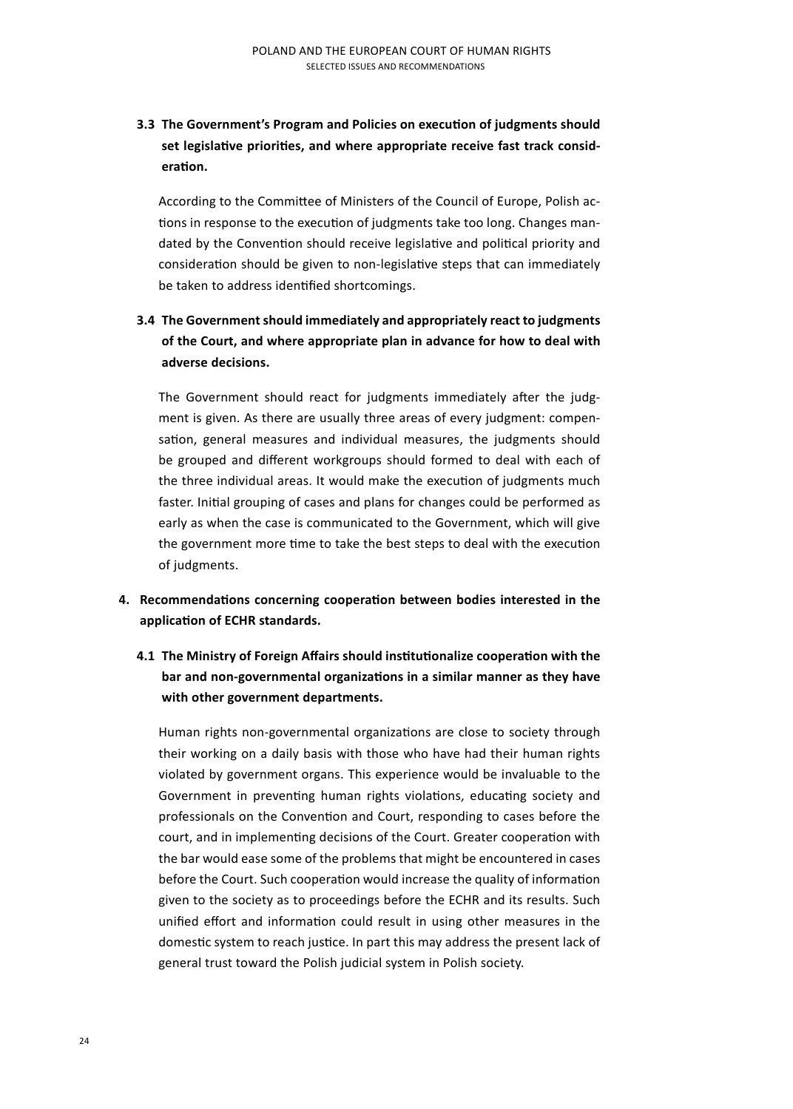# **3.3 The Government's Program and Policies on execution of judgments should set legislative priorities, and where appropriate receive fast track consideration.**

According to the Committee of Ministers of the Council of Europe, Polish actions in response to the execution of judgments take too long. Changes mandated by the Convention should receive legislative and political priority and consideration should be given to non-legislative steps that can immediately be taken to address identified shortcomings.

# **3.4 The Government should immediately and appropriately react to judgments of the Court, and where appropriate plan in advance for how to deal with adverse decisions.**

The Government should react for judgments immediately after the judgment is given. As there are usually three areas of every judgment: compensation, general measures and individual measures, the judgments should be grouped and different workgroups should formed to deal with each of the three individual areas. It would make the execution of judgments much faster. Initial grouping of cases and plans for changes could be performed as early as when the case is communicated to the Government, which will give the government more time to take the best steps to deal with the execution of judgments.

- **4. Recommendations concerning cooperation between bodies interested in the application of ECHR standards.** 
	- **4.1 The Ministry of Foreign Affairs should institutionalize cooperation with the bar and non-governmental organizations in a similar manner as they have with other government departments.**

Human rights non-governmental organizations are close to society through their working on a daily basis with those who have had their human rights violated by government organs. This experience would be invaluable to the Government in preventing human rights violations, educating society and professionals on the Convention and Court, responding to cases before the court, and in implementing decisions of the Court. Greater cooperation with the bar would ease some of the problems that might be encountered in cases before the Court. Such cooperation would increase the quality of information given to the society as to proceedings before the ECHR and its results. Such unified effort and information could result in using other measures in the domestic system to reach justice. In part this may address the present lack of general trust toward the Polish judicial system in Polish society.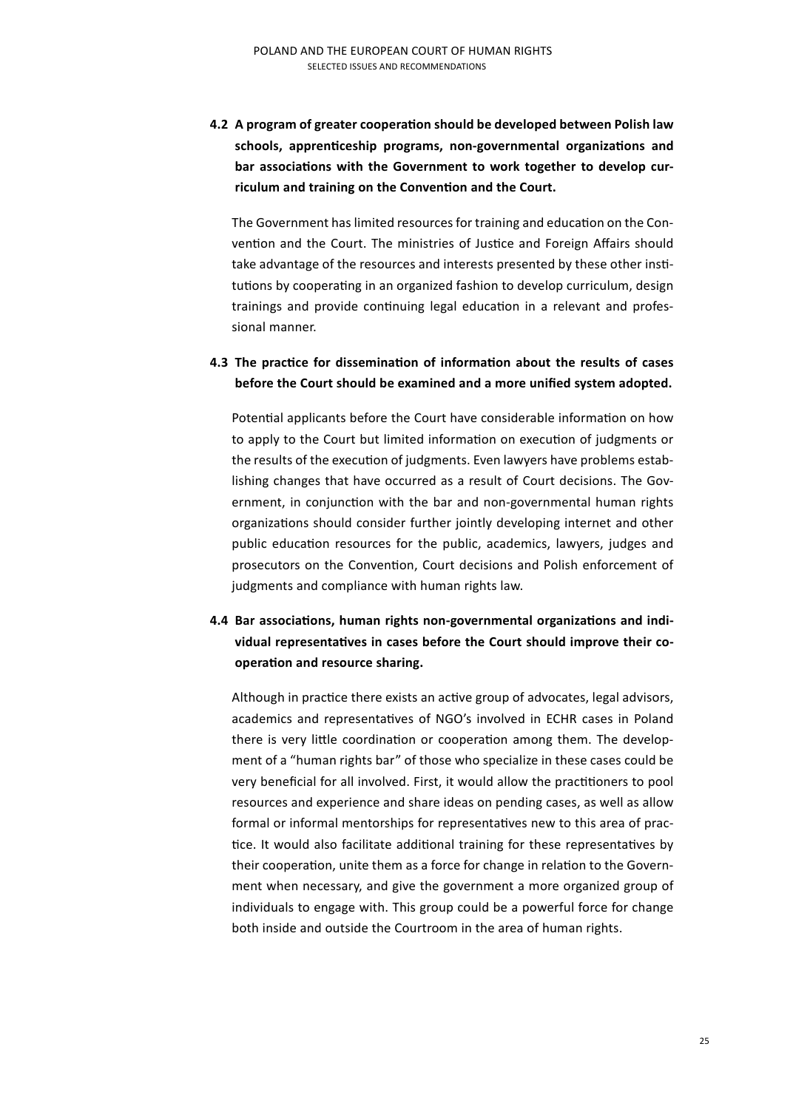**4.2 A program of greater cooperation should be developed between Polish law schools, apprenticeship programs, non-governmental organizations and bar associations with the Government to work together to develop curriculum and training on the Convention and the Court.** 

The Government has limited resources for training and education on the Convention and the Court. The ministries of Justice and Foreign Affairs should take advantage of the resources and interests presented by these other institutions by cooperating in an organized fashion to develop curriculum, design trainings and provide continuing legal education in a relevant and professional manner.

## **4.3 The practice for dissemination of information about the results of cases before the Court should be examined and a more unified system adopted.**

Potential applicants before the Court have considerable information on how to apply to the Court but limited information on execution of judgments or the results of the execution of judgments. Even lawyers have problems establishing changes that have occurred as a result of Court decisions. The Government, in conjunction with the bar and non-governmental human rights organizations should consider further jointly developing internet and other public education resources for the public, academics, lawyers, judges and prosecutors on the Convention, Court decisions and Polish enforcement of judgments and compliance with human rights law.

**4.4 Bar associations, human rights non-governmental organizations and individual representatives in cases before the Court should improve their cooperation and resource sharing.** 

Although in practice there exists an active group of advocates, legal advisors, academics and representatives of NGO's involved in ECHR cases in Poland there is very little coordination or cooperation among them. The development of a "human rights bar" of those who specialize in these cases could be very beneficial for all involved. First, it would allow the practitioners to pool resources and experience and share ideas on pending cases, as well as allow formal or informal mentorships for representatives new to this area of practice. It would also facilitate additional training for these representatives by their cooperation, unite them as a force for change in relation to the Government when necessary, and give the government a more organized group of individuals to engage with. This group could be a powerful force for change both inside and outside the Courtroom in the area of human rights.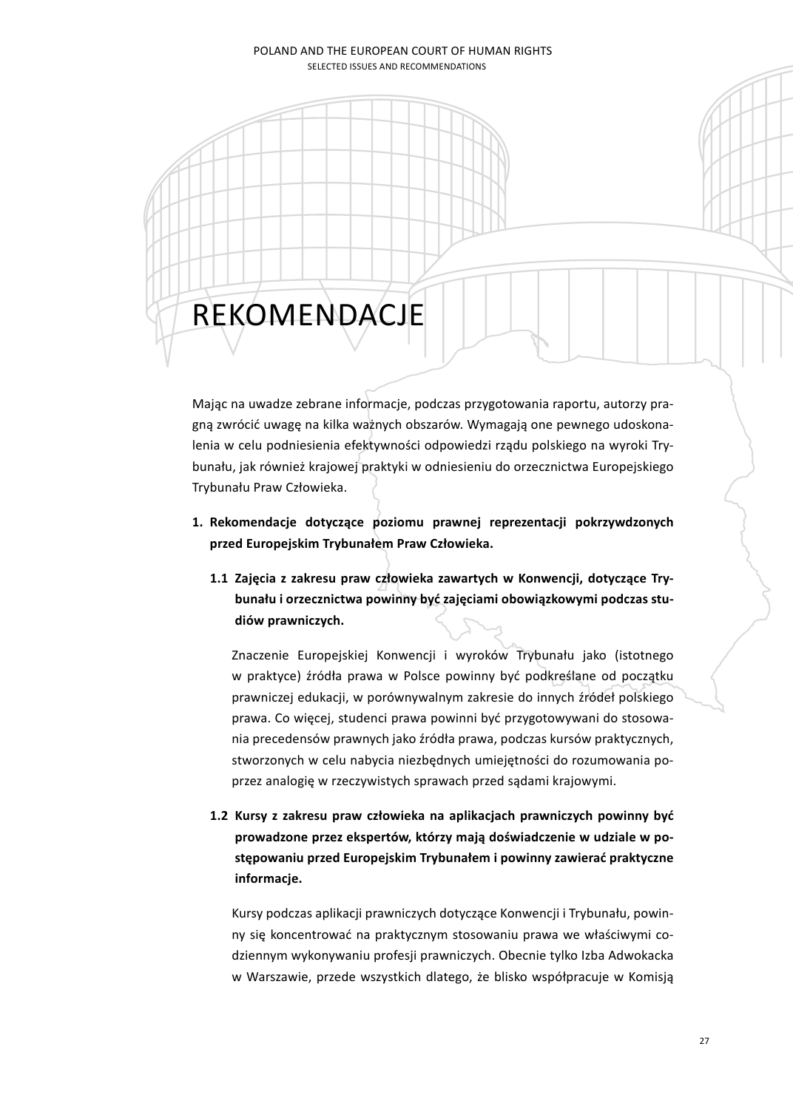

Mając na uwadze zebrane informacje, podczas przygotowania raportu, autorzy pragną zwrócić uwagę na kilka ważnych obszarów. Wymagają one pewnego udoskonalenia w celu podniesienia efektywności odpowiedzi rządu polskiego na wyroki Trybunału, jak również krajowej praktyki w odniesieniu do orzecznictwa Europejskiego Trybunału Praw Człowieka.

- **1. Rekomendacje dotyczące poziomu prawnej reprezentacji pokrzywdzonych przed Europejskim Trybunałem Praw Człowieka.**
	- **1.1 Zajęcia z zakresu praw człowieka zawartych w Konwencji, dotyczące Trybunału i orzecznictwa powinny być zajęciami obowiązkowymi podczas studiów prawniczych.**

Znaczenie Europejskiej Konwencji i wyroków Trybunału jako (istotnego w praktyce) źródła prawa w Polsce powinny być podkreślane od początku prawniczej edukacji, w porównywalnym zakresie do innych źródeł polskiego prawa. Co więcej, studenci prawa powinni być przygotowywani do stosowania precedensów prawnych jako źródła prawa, podczas kursów praktycznych, stworzonych w celu nabycia niezbędnych umiejętności do rozumowania poprzez analogię w rzeczywistych sprawach przed sądami krajowymi.

**1.2 Kursy z zakresu praw człowieka na aplikacjach prawniczych powinny być prowadzone przez ekspertów, którzy mają doświadczenie w udziale w postępowaniu przed Europejskim Trybunałem i powinny zawierać praktyczne informacje.**

Kursy podczas aplikacji prawniczych dotyczące Konwencji i Trybunału, powinny się koncentrować na praktycznym stosowaniu prawa we właściwymi codziennym wykonywaniu profesji prawniczych. Obecnie tylko Izba Adwokacka w Warszawie, przede wszystkich dlatego, że blisko współpracuje w Komisją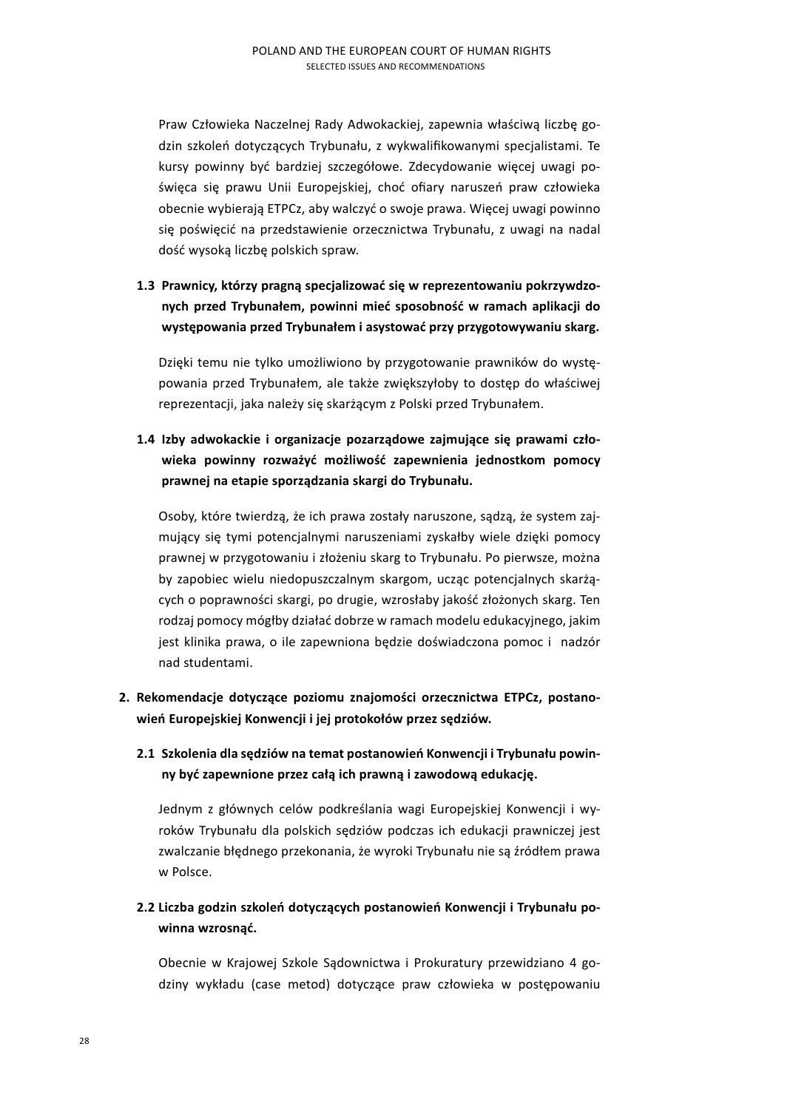Praw Człowieka Naczelnej Rady Adwokackiej, zapewnia właściwą liczbę godzin szkoleń dotyczących Trybunału, z wykwalifikowanymi specjalistami. Te kursy powinny być bardziej szczegółowe. Zdecydowanie więcej uwagi poświęca się prawu Unii Europejskiej, choć ofiary naruszeń praw człowieka obecnie wybierają ETPCz, aby walczyć o swoje prawa. Więcej uwagi powinno się poświęcić na przedstawienie orzecznictwa Trybunału, z uwagi na nadal dość wysoką liczbę polskich spraw.

**1.3 Prawnicy, którzy pragną specjalizować się w reprezentowaniu pokrzywdzonych przed Trybunałem, powinni mieć sposobność w ramach aplikacji do występowania przed Trybunałem i asystować przy przygotowywaniu skarg.**

Dzięki temu nie tylko umożliwiono by przygotowanie prawników do występowania przed Trybunałem, ale także zwiększyłoby to dostęp do właściwej reprezentacji, jaka należy się skarżącym z Polski przed Trybunałem.

**1.4 Izby adwokackie i organizacje pozarządowe zajmujące się prawami człowieka powinny rozważyć możliwość zapewnienia jednostkom pomocy prawnej na etapie sporządzania skargi do Trybunału.** 

Osoby, które twierdzą, że ich prawa zostały naruszone, sądzą, że system zajmujący się tymi potencjalnymi naruszeniami zyskałby wiele dzięki pomocy prawnej w przygotowaniu i złożeniu skarg to Trybunału. Po pierwsze, można by zapobiec wielu niedopuszczalnym skargom, ucząc potencjalnych skarżących o poprawności skargi, po drugie, wzrosłaby jakość złożonych skarg. Ten rodzaj pomocy mógłby działać dobrze w ramach modelu edukacyjnego, jakim jest klinika prawa, o ile zapewniona będzie doświadczona pomoc i nadzór nad studentami.

- **2. Rekomendacje dotyczące poziomu znajomości orzecznictwa ETPCz, postanowień Europejskiej Konwencji i jej protokołów przez sędziów.**
	- **2.1 Szkolenia dla sędziów na temat postanowień Konwencji i Trybunału powinny być zapewnione przez całą ich prawną i zawodową edukację.**

Jednym z głównych celów podkreślania wagi Europejskiej Konwencji i wyroków Trybunału dla polskich sędziów podczas ich edukacji prawniczej jest zwalczanie błędnego przekonania, że wyroki Trybunału nie są źródłem prawa w Polsce.

**2.2 Liczba godzin szkoleń dotyczących postanowień Konwencji i Trybunału powinna wzrosnąć.**

Obecnie w Krajowej Szkole Sądownictwa i Prokuratury przewidziano 4 godziny wykładu (case metod) dotyczące praw człowieka w postępowaniu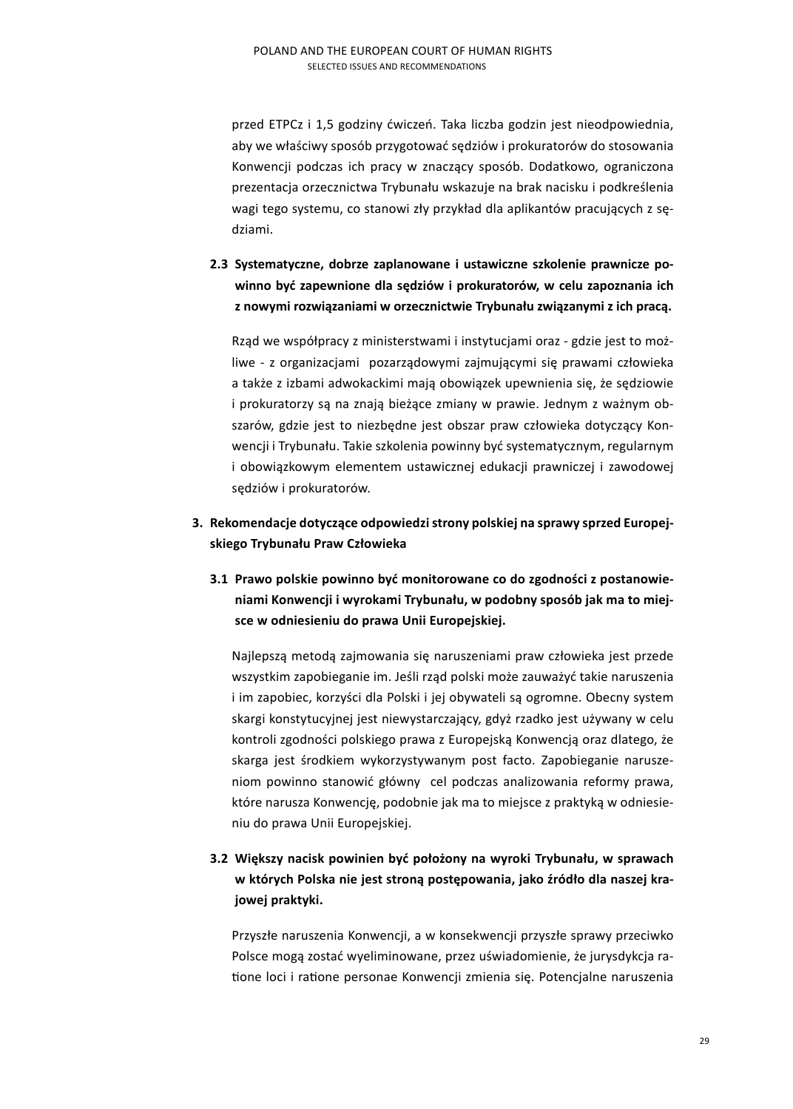przed ETPCz i 1,5 godziny ćwiczeń. Taka liczba godzin jest nieodpowiednia, aby we właściwy sposób przygotować sędziów i prokuratorów do stosowania Konwencji podczas ich pracy w znaczący sposób. Dodatkowo, ograniczona prezentacja orzecznictwa Trybunału wskazuje na brak nacisku i podkreślenia wagi tego systemu, co stanowi zły przykład dla aplikantów pracujących z sędziami.

**2.3 Systematyczne, dobrze zaplanowane i ustawiczne szkolenie prawnicze powinno być zapewnione dla sędziów i prokuratorów, w celu zapoznania ich z nowymi rozwiązaniami w orzecznictwie Trybunału związanymi z ich pracą.**

Rząd we współpracy z ministerstwami i instytucjami oraz - gdzie jest to możliwe - z organizacjami pozarządowymi zajmującymi się prawami człowieka a także z izbami adwokackimi mają obowiązek upewnienia się, że sędziowie i prokuratorzy są na znają bieżące zmiany w prawie. Jednym z ważnym obszarów, gdzie jest to niezbędne jest obszar praw człowieka dotyczący Konwencji i Trybunału. Takie szkolenia powinny być systematycznym, regularnym i obowiązkowym elementem ustawicznej edukacji prawniczej i zawodowej sędziów i prokuratorów.

- **3. Rekomendacje dotyczące odpowiedzi strony polskiej na sprawy sprzed Europejskiego Trybunału Praw Człowieka**
	- **3.1 Prawo polskie powinno być monitorowane co do zgodności z postanowieniami Konwencji i wyrokami Trybunału, w podobny sposób jak ma to miejsce w odniesieniu do prawa Unii Europejskiej.**

Najlepszą metodą zajmowania się naruszeniami praw człowieka jest przede wszystkim zapobieganie im. Jeśli rząd polski może zauważyć takie naruszenia i im zapobiec, korzyści dla Polski i jej obywateli są ogromne. Obecny system skargi konstytucyjnej jest niewystarczający, gdyż rzadko jest używany w celu kontroli zgodności polskiego prawa z Europejską Konwencją oraz dlatego, że skarga jest środkiem wykorzystywanym post facto. Zapobieganie naruszeniom powinno stanowić główny cel podczas analizowania reformy prawa, które narusza Konwencję, podobnie jak ma to miejsce z praktyką w odniesieniu do prawa Unii Europejskiej.

# **3.2 Większy nacisk powinien być położony na wyroki Trybunału, w sprawach w których Polska nie jest stroną postępowania, jako źródło dla naszej krajowej praktyki.**

Przyszłe naruszenia Konwencji, a w konsekwencji przyszłe sprawy przeciwko Polsce mogą zostać wyeliminowane, przez uświadomienie, że jurysdykcja ratione loci i ratione personae Konwencji zmienia się. Potencjalne naruszenia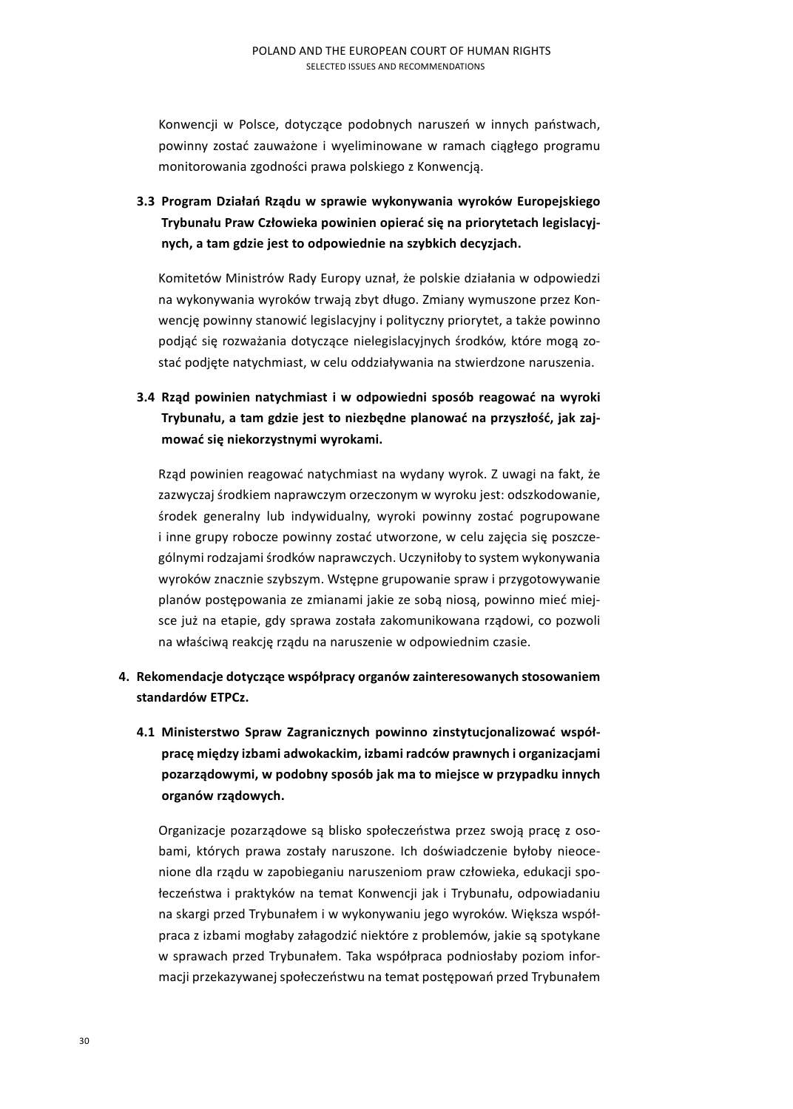Konwencii w Polsce, dotyczące podobnych naruszeń w innych państwach. powinny zostać zauważone i wyeliminowane w ramach ciągłego programu monitorowania zgodności prawa polskiego z Konwencją.

**3.3 Program Działań Rządu w sprawie wykonywania wyroków Europejskiego Trybunału Praw Człowieka powinien opierać się na priorytetach legislacyjnych, a tam gdzie jest to odpowiednie na szybkich decyzjach.**

Komitetów Ministrów Rady Europy uznał, że polskie działania w odpowiedzi na wykonywania wyroków trwają zbyt długo. Zmiany wymuszone przez Konwencję powinny stanowić legislacyjny i polityczny priorytet, a także powinno podjąć się rozważania dotyczące nielegislacyjnych środków, które mogą zostać podjęte natychmiast, w celu oddziaływania na stwierdzone naruszenia.

**3.4 Rząd powinien natychmiast i w odpowiedni sposób reagować na wyroki Trybunału, a tam gdzie jest to niezbędne planować na przyszłość, jak zajmować się niekorzystnymi wyrokami.**

Rząd powinien reagować natychmiast na wydany wyrok. Z uwagi na fakt, że zazwyczaj środkiem naprawczym orzeczonym w wyroku jest: odszkodowanie, środek generalny lub indywidualny, wyroki powinny zostać pogrupowane i inne grupy robocze powinny zostać utworzone, w celu zajęcia się poszczególnymi rodzajami środków naprawczych. Uczyniłoby to system wykonywania wyroków znacznie szybszym. Wstępne grupowanie spraw i przygotowywanie planów postępowania ze zmianami jakie ze sobą niosą, powinno mieć miejsce już na etapie, gdy sprawa została zakomunikowana rządowi, co pozwoli na właściwą reakcję rządu na naruszenie w odpowiednim czasie.

- **4. Rekomendacje dotyczące współpracy organów zainteresowanych stosowaniem standardów ETPCz.**
	- **4.1 Ministerstwo Spraw Zagranicznych powinno zinstytucjonalizować współpracę między izbami adwokackim, izbami radców prawnych i organizacjami pozarządowymi, w podobny sposób jak ma to miejsce w przypadku innych organów rządowych.**

Organizacje pozarządowe są blisko społeczeństwa przez swoją pracę z osobami, których prawa zostały naruszone. Ich doświadczenie byłoby nieocenione dla rządu w zapobieganiu naruszeniom praw człowieka, edukacji społeczeństwa i praktyków na temat Konwencji jak i Trybunału, odpowiadaniu na skargi przed Trybunałem i w wykonywaniu jego wyroków. Większa współpraca z izbami mogłaby załagodzić niektóre z problemów, jakie są spotykane w sprawach przed Trybunałem. Taka współpraca podniosłaby poziom informacji przekazywanej społeczeństwu na temat postępowań przed Trybunałem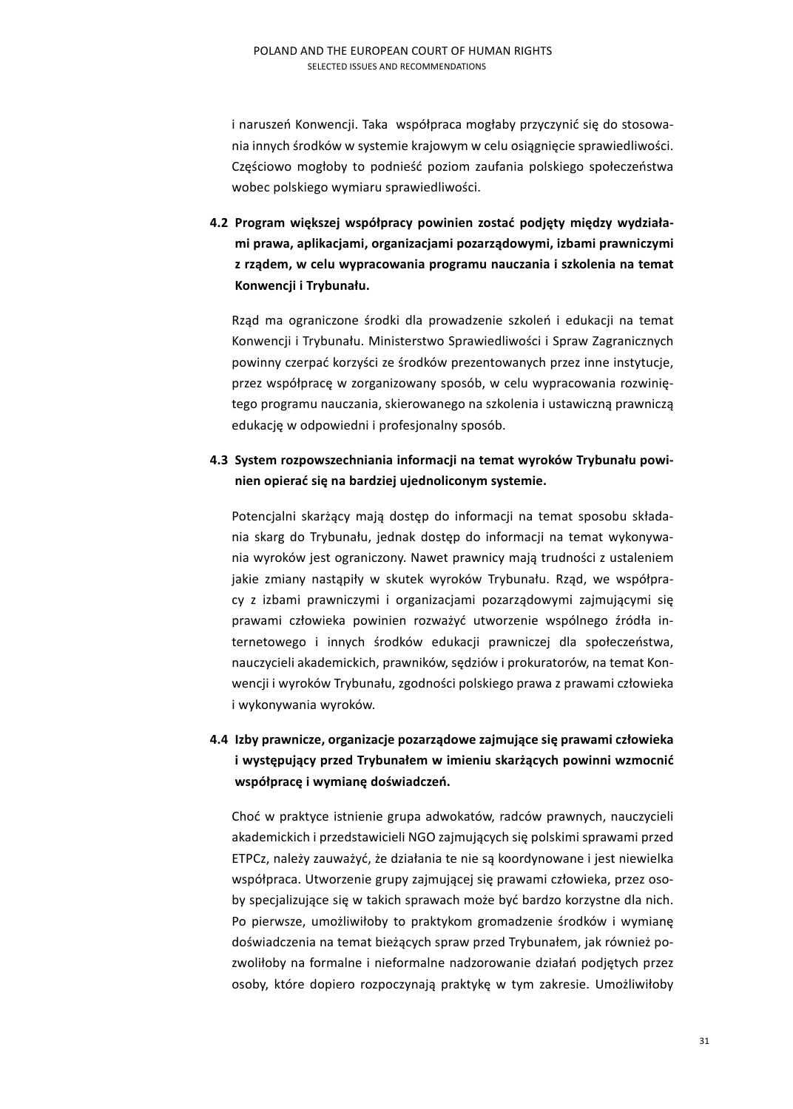i naruszeń Konwencji. Taka współpraca mogłaby przyczynić się do stosowania innych środków w systemie krajowym w celu osiągnięcie sprawiedliwości. Częściowo mogłoby to podnieść poziom zaufania polskiego społeczeństwa wobec polskiego wymiaru sprawiedliwości.

**4.2 Program większej współpracy powinien zostać podjęty między wydziałami prawa, aplikacjami, organizacjami pozarządowymi, izbami prawniczymi z rządem, w celu wypracowania programu nauczania i szkolenia na temat Konwencji i Trybunału.**

Rząd ma ograniczone środki dla prowadzenie szkoleń i edukacji na temat Konwencji i Trybunału. Ministerstwo Sprawiedliwości i Spraw Zagranicznych powinny czerpać korzyści ze środków prezentowanych przez inne instytucje, przez współpracę w zorganizowany sposób, w celu wypracowania rozwiniętego programu nauczania, skierowanego na szkolenia i ustawiczną prawniczą edukację w odpowiedni i profesjonalny sposób.

## **4.3 System rozpowszechniania informacji na temat wyroków Trybunału powinien opierać się na bardziej ujednoliconym systemie.**

Potencjalni skarżący mają dostęp do informacji na temat sposobu składania skarg do Trybunału, jednak dostęp do informacji na temat wykonywania wyroków jest ograniczony. Nawet prawnicy mają trudności z ustaleniem jakie zmiany nastąpiły w skutek wyroków Trybunału. Rząd, we współpracy z izbami prawniczymi i organizacjami pozarządowymi zajmującymi się prawami człowieka powinien rozważyć utworzenie wspólnego źródła internetowego i innych środków edukacji prawniczej dla społeczeństwa, nauczycieli akademickich, prawników, sędziów i prokuratorów, na temat Konwencji i wyroków Trybunału, zgodności polskiego prawa z prawami człowieka i wykonywania wyroków.

# **4.4 Izby prawnicze, organizacje pozarządowe zajmujące się prawami człowieka i występujący przed Trybunałem w imieniu skarżących powinni wzmocnić współpracę i wymianę doświadczeń.**

Choć w praktyce istnienie grupa adwokatów, radców prawnych, nauczycieli akademickich i przedstawicieli NGO zajmujących się polskimi sprawami przed ETPCz, należy zauważyć, że działania te nie są koordynowane i jest niewielka współpraca. Utworzenie grupy zajmującej się prawami człowieka, przez osoby specjalizujące się w takich sprawach może być bardzo korzystne dla nich. Po pierwsze, umożliwiłoby to praktykom gromadzenie środków i wymianę doświadczenia na temat bieżących spraw przed Trybunałem, jak również pozwoliłoby na formalne i nieformalne nadzorowanie działań podjętych przez osoby, które dopiero rozpoczynają praktykę w tym zakresie. Umożliwiłoby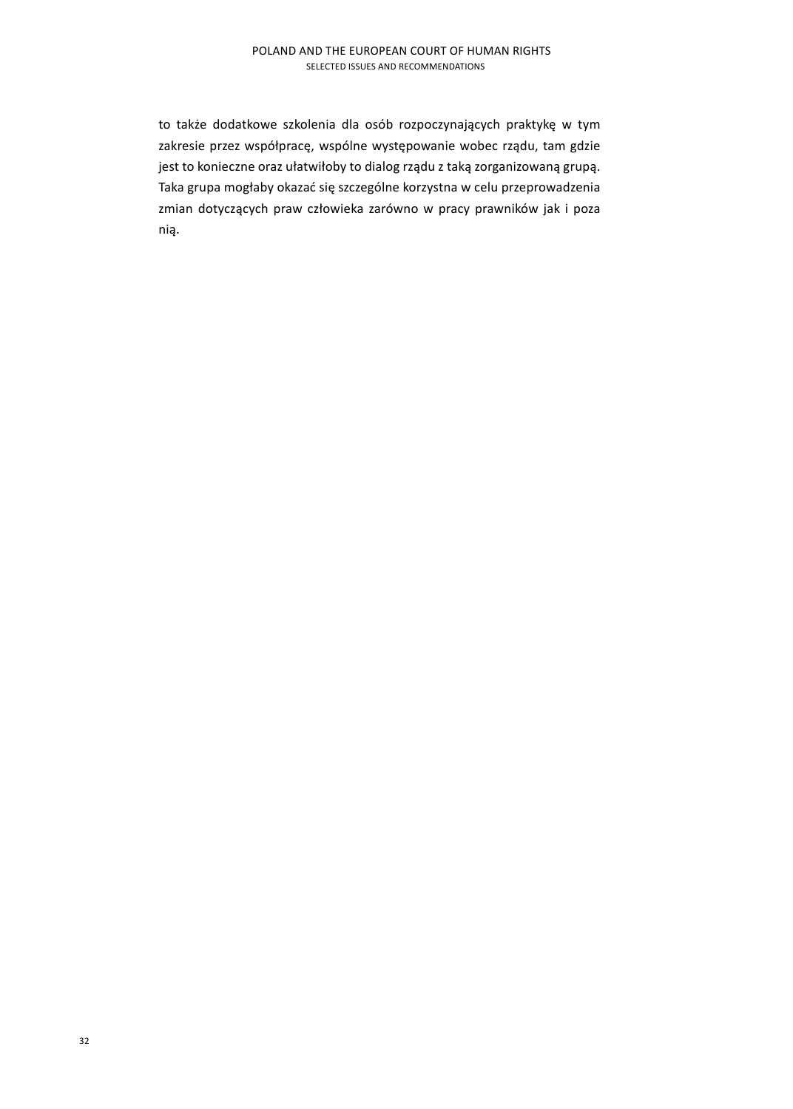to także dodatkowe szkolenia dla osób rozpoczynających praktykę w tym zakresie przez współpracę, wspólne występowanie wobec rządu, tam gdzie jest to konieczne oraz ułatwiłoby to dialog rządu z taką zorganizowaną grupą. Taka grupa mogłaby okazać się szczególne korzystna w celu przeprowadzenia zmian dotyczących praw człowieka zarówno w pracy prawników jak i poza nią.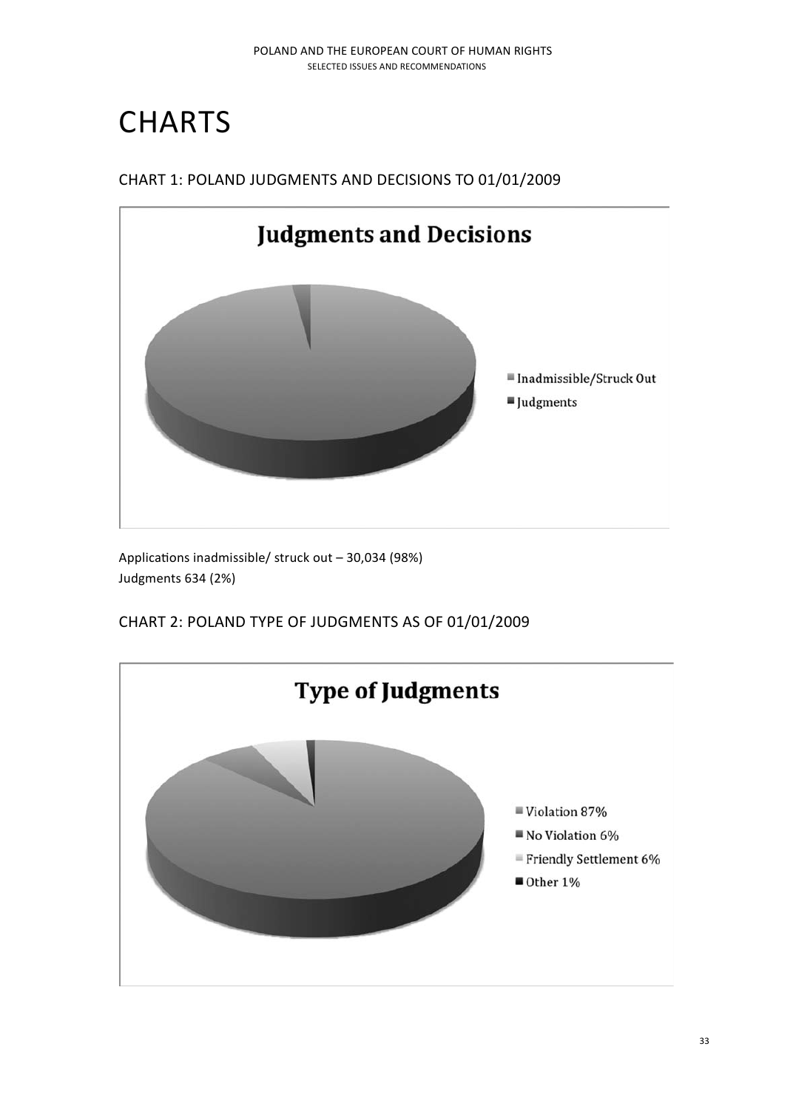# **CHARTS**

CHART 1: POLAND JUDGMENTS AND DECISIONS TO 01/01/2009



Applications inadmissible/ struck out – 30,034 (98%) Judgments 634 (2%)

CHART 2: POLAND TYPE OF JUDGMENTS AS OF 01/01/2009

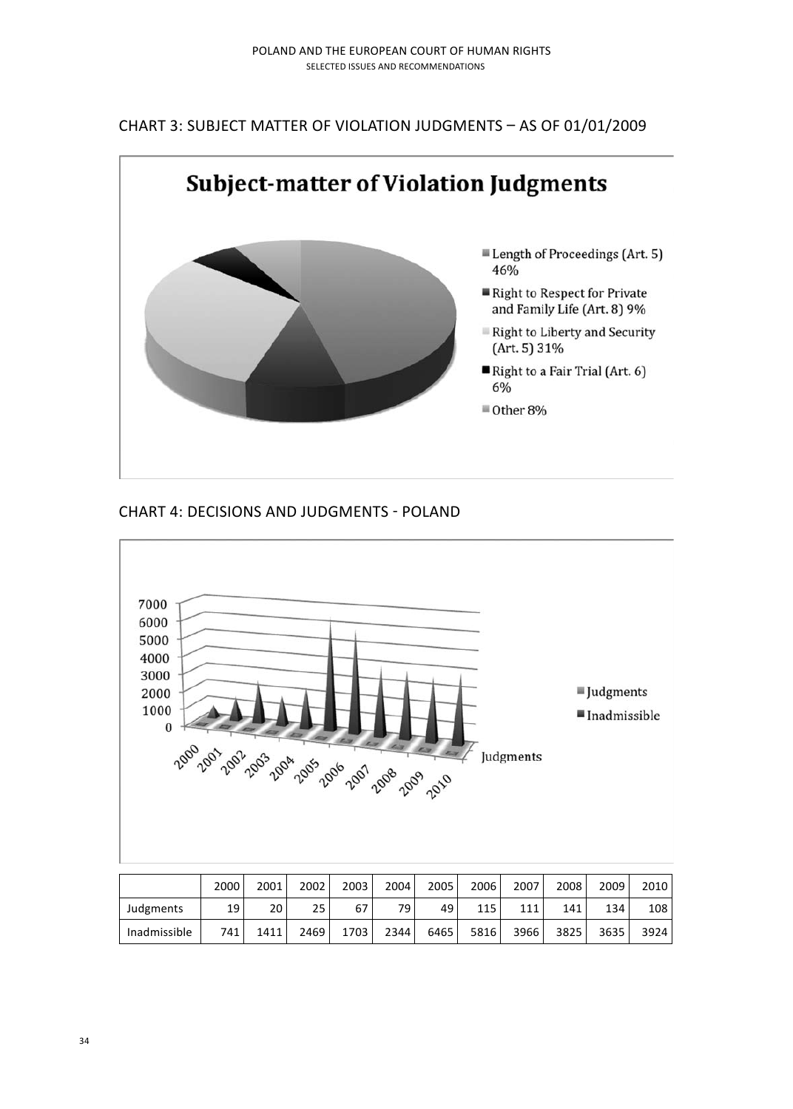# CHART 3: SUBJECT MATTER OF VIOLATION JUDGMENTS – AS OF 01/01/2009



CHART 4: DECISIONS AND JUDGMENTS - POLAND



|              | 2000 | 2001 | 2002 | 2003 | 2004 | 2005 | 2006 | 2007 | 2008 | 2009 | 2010 |
|--------------|------|------|------|------|------|------|------|------|------|------|------|
| Judgments    | 19   | 20   | 25   | 67   | 79   | 49   | 115  | 111  | 141  | 134  | 108  |
| Inadmissible | 741  | 1411 | 2469 | 1703 | 2344 | 6465 | 5816 | 3966 | 3825 | 3635 | 3924 |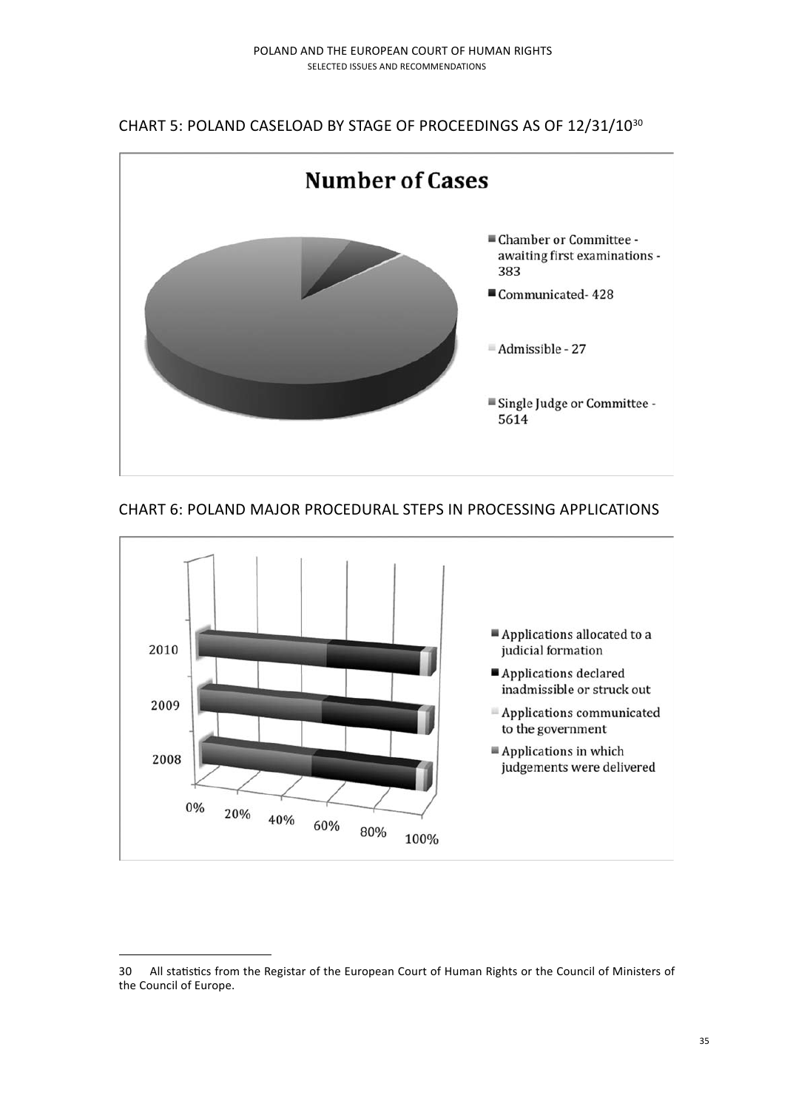# CHART 5: POLAND CASELOAD BY STAGE OF PROCEEDINGS AS OF 12/31/10<sup>30</sup>



# CHART 6: POLAND MAJOR PROCEDURAL STEPS IN PROCESSING APPLICATIONS



<sup>30</sup> All statistics from the Registar of the European Court of Human Rights or the Council of Ministers of the Council of Europe.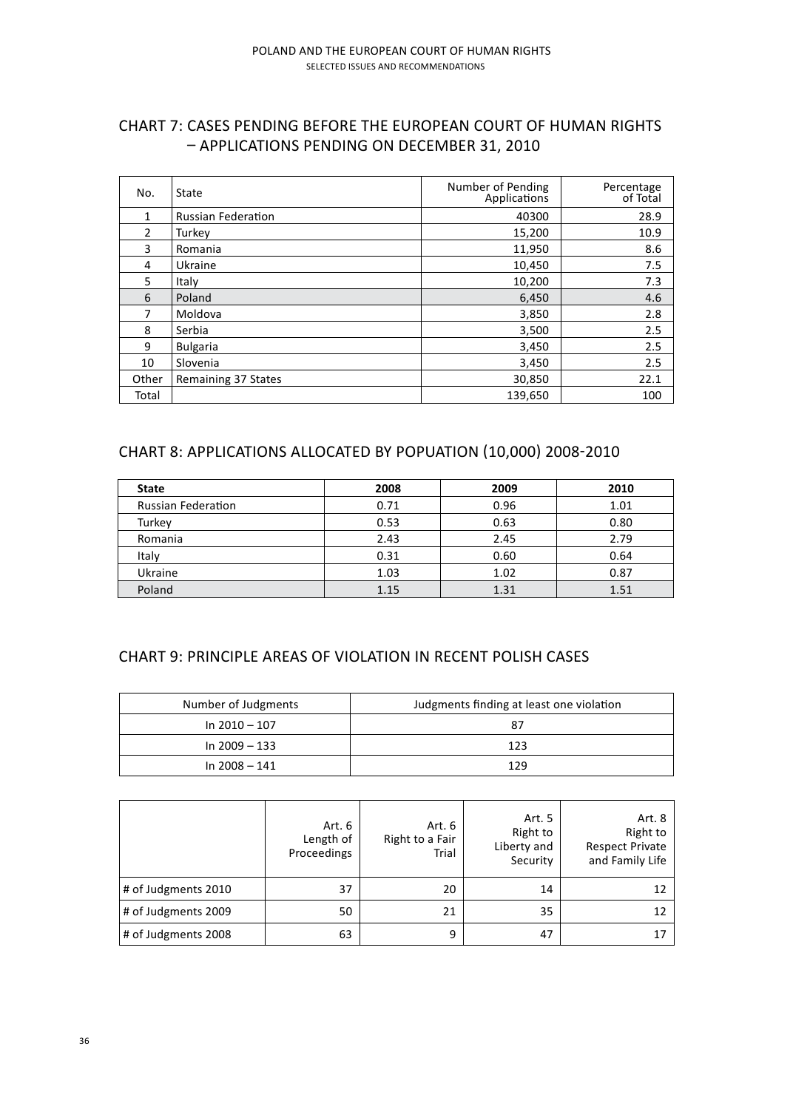# CHART 7: CASES PENDING BEFORE THE EUROPEAN COURT OF HUMAN RIGHTS – APPLICATIONS PENDING ON DECEMBER 31, 2010

| No.   | State                     | Number of Pending<br>Applications | Percentage<br>of Total |
|-------|---------------------------|-----------------------------------|------------------------|
| 1     | <b>Russian Federation</b> | 40300                             | 28.9                   |
| 2     | Turkey                    | 15,200                            | 10.9                   |
| 3     | Romania                   | 11,950                            | 8.6                    |
| 4     | Ukraine                   | 10,450                            | 7.5                    |
| 5.    | Italy                     | 10,200                            | 7.3                    |
| 6     | Poland                    | 6,450                             | 4.6                    |
| 7     | Moldova                   | 3,850                             | 2.8                    |
| 8     | Serbia                    | 3,500                             | 2.5                    |
| 9     | <b>Bulgaria</b>           | 3,450                             | 2.5                    |
| 10    | Slovenia                  | 3,450                             | 2.5                    |
| Other | Remaining 37 States       | 30,850                            | 22.1                   |
| Total |                           | 139,650                           | 100                    |

# CHART 8: APPLICATIONS ALLOCATED BY POPUATION (10,000) 2008-2010

| <b>State</b>              | 2008 | 2009 | 2010 |
|---------------------------|------|------|------|
| <b>Russian Federation</b> | 0.71 | 0.96 | 1.01 |
| Turkey                    | 0.53 | 0.63 | 0.80 |
| Romania                   | 2.43 | 2.45 | 2.79 |
| Italy                     | 0.31 | 0.60 | 0.64 |
| Ukraine                   | 1.03 | 1.02 | 0.87 |
| Poland                    | 1.15 | 1.31 | 1.51 |

## CHART 9: PRINCIPLE AREAS OF VIOLATION IN RECENT POLISH CASES

| Number of Judgments | Judgments finding at least one violation |  |  |
|---------------------|------------------------------------------|--|--|
| In $2010 - 107$     | 87                                       |  |  |
| In $2009 - 133$     | 123                                      |  |  |
| In 2008 - 141       | 129                                      |  |  |

|                     | Art. 6<br>Length of<br>Proceedings | Art. 6<br>Right to a Fair<br>Trial | Art. 5<br>Right to<br>Liberty and<br>Security | Art. 8<br>Right to<br><b>Respect Private</b><br>and Family Life |
|---------------------|------------------------------------|------------------------------------|-----------------------------------------------|-----------------------------------------------------------------|
| # of Judgments 2010 | 37                                 | 20                                 | 14                                            | 12                                                              |
| # of Judgments 2009 | 50                                 | 21                                 | 35                                            | 12                                                              |
| # of Judgments 2008 | 63                                 | 9                                  | 47                                            |                                                                 |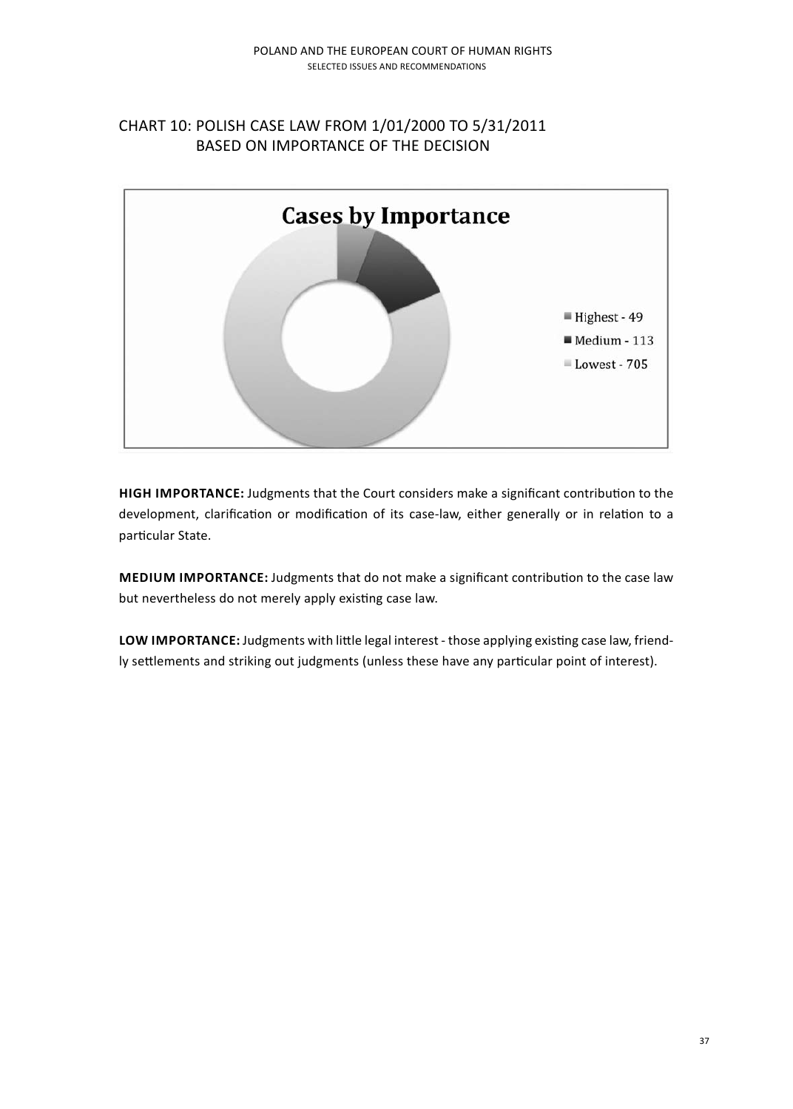# CHART 10: POLISH CASE LAW FROM 1/01/2000 TO 5/31/2011 BASED ON IMPORTANCE OF THE DECISION



**High importance:** Judgments that the Court considers make a significant contribution to the development, clarification or modification of its case-law, either generally or in relation to a particular State.

**Medium importance:** Judgments that do not make a significant contribution to the case law but nevertheless do not merely apply existing case law.

**Low importance:** Judgments with little legal interest - those applying existing case law, friendly settlements and striking out judgments (unless these have any particular point of interest).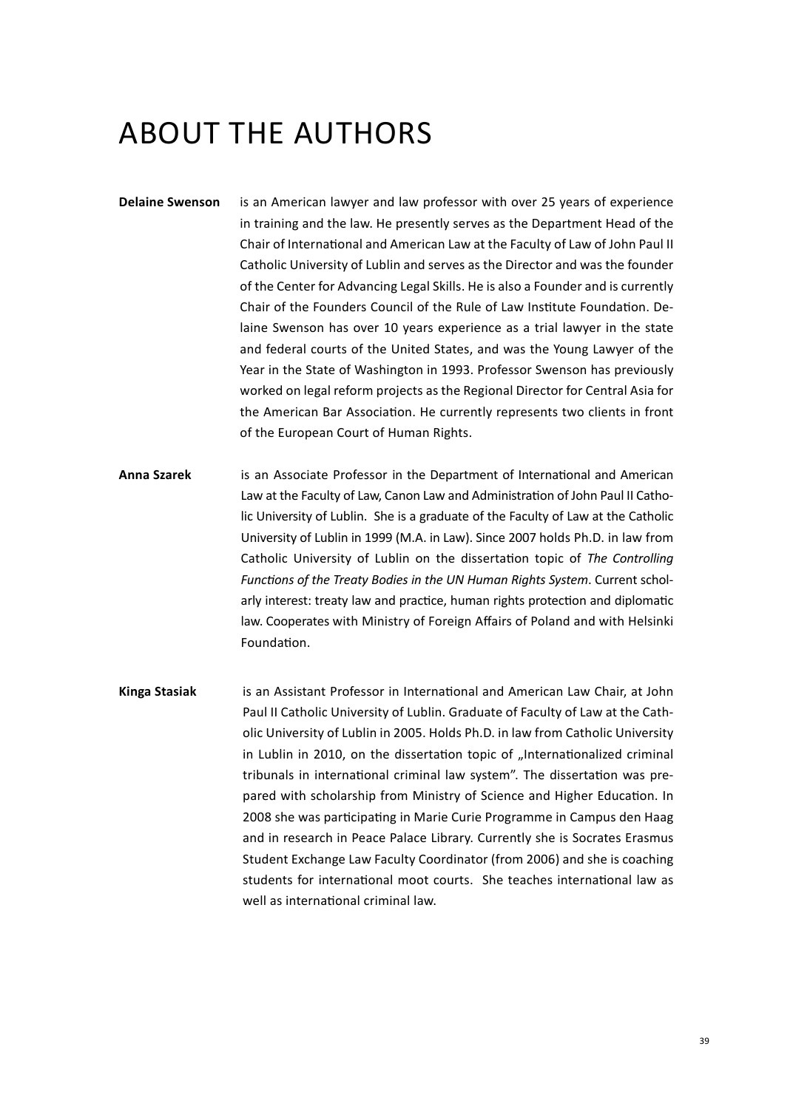# About the Authors

- **Delaine Swenson** is an American lawyer and law professor with over 25 years of experience in training and the law. He presently serves as the Department Head of the Chair of International and American Law at the Faculty of Law of John Paul II Catholic University of Lublin and serves as the Director and was the founder of the Center for Advancing Legal Skills. He is also a Founder and is currently Chair of the Founders Council of the Rule of Law Institute Foundation. Delaine Swenson has over 10 years experience as a trial lawyer in the state and federal courts of the United States, and was the Young Lawyer of the Year in the State of Washington in 1993. Professor Swenson has previously worked on legal reform projects as the Regional Director for Central Asia for the American Bar Association. He currently represents two clients in front of the European Court of Human Rights.
- **Anna Szarek** is an Associate Professor in the Department of International and American Law at the Faculty of Law, Canon Law and Administration of John Paul II Catholic University of Lublin. She is a graduate of the Faculty of Law at the Catholic University of Lublin in 1999 (M.A. in Law). Since 2007 holds Ph.D. in law from Catholic University of Lublin on the dissertation topic of *The Controlling Functions of the Treaty Bodies in the UN Human Rights System*. Current scholarly interest: treaty law and practice, human rights protection and diplomatic law. Cooperates with Ministry of Foreign Affairs of Poland and with Helsinki Foundation.
- **Kinga Stasiak** is an Assistant Professor in International and American Law Chair, at John Paul II Catholic University of Lublin. Graduate of Faculty of Law at the Catholic University of Lublin in 2005. Holds Ph.D. in law from Catholic University in Lublin in 2010, on the dissertation topic of "Internationalized criminal tribunals in international criminal law system". The dissertation was prepared with scholarship from Ministry of Science and Higher Education. In 2008 she was participating in Marie Curie Programme in Campus den Haag and in research in Peace Palace Library. Currently she is Socrates Erasmus Student Exchange Law Faculty Coordinator (from 2006) and she is coaching students for international moot courts. She teaches international law as well as international criminal law.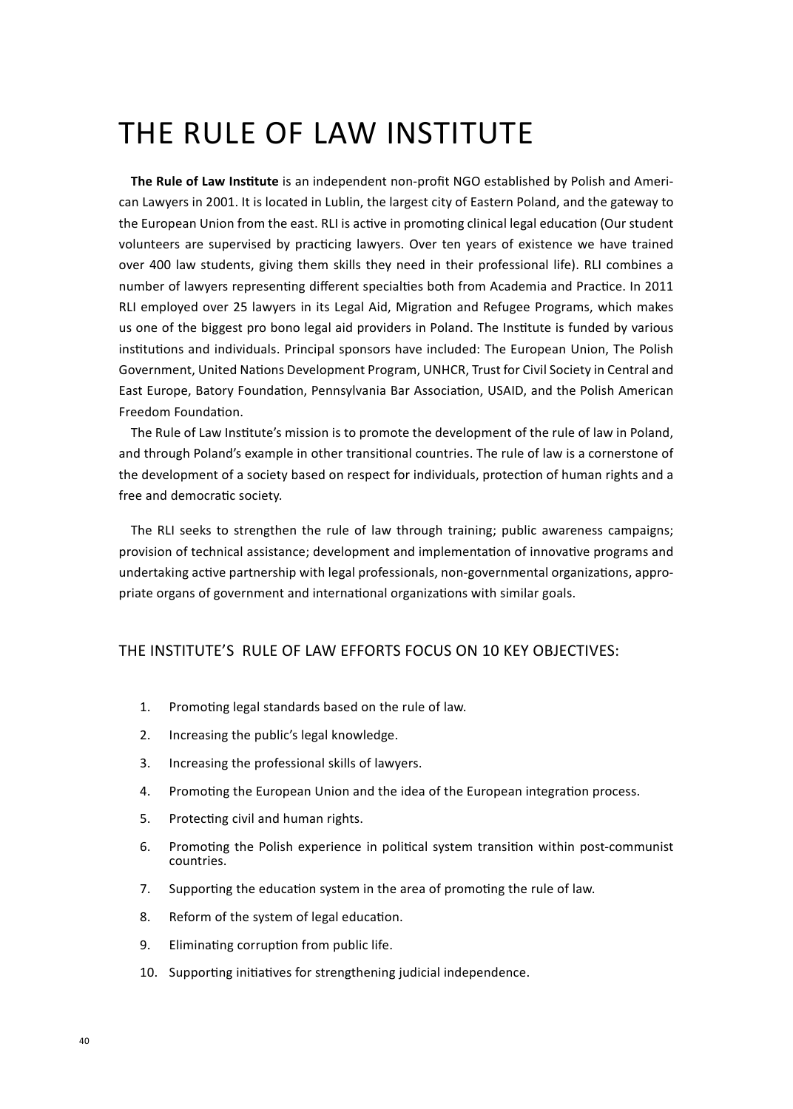# THE RULE OF LAW INSTITUTE

**The Rule of Law Institute** is an independent non-profit NGO established by Polish and American Lawyers in 2001. It is located in Lublin, the largest city of Eastern Poland, and the gateway to the European Union from the east. RLI is active in promoting clinical legal education (Our student volunteers are supervised by practicing lawyers. Over ten years of existence we have trained over 400 law students, giving them skills they need in their professional life). RLI combines a number of lawyers representing different specialties both from Academia and Practice. In 2011 RLI employed over 25 lawyers in its Legal Aid, Migration and Refugee Programs, which makes us one of the biggest pro bono legal aid providers in Poland. The Institute is funded by various institutions and individuals. Principal sponsors have included: The European Union, The Polish Government, United Nations Development Program, UNHCR, Trust for Civil Society in Central and East Europe, Batory Foundation, Pennsylvania Bar Association, USAID, and the Polish American Freedom Foundation.

The Rule of Law Institute's mission is to promote the development of the rule of law in Poland, and through Poland's example in other transitional countries. The rule of law is a cornerstone of the development of a society based on respect for individuals, protection of human rights and a free and democratic society.

The RLI seeks to strengthen the rule of law through training; public awareness campaigns; provision of technical assistance; development and implementation of innovative programs and undertaking active partnership with legal professionals, non-governmental organizations, appropriate organs of government and international organizations with similar goals.

### The Institute's rule of law efforts focus on 10 key objectives:

- 1. Promoting legal standards based on the rule of law.
- 2. Increasing the public's legal knowledge.
- 3. Increasing the professional skills of lawyers.
- 4. Promoting the European Union and the idea of the European integration process.
- 5. Protecting civil and human rights.
- 6. Promoting the Polish experience in political system transition within post-communist countries.
- 7. Supporting the education system in the area of promoting the rule of law.
- 8. Reform of the system of legal education.
- 9. Eliminating corruption from public life.
- 10. Supporting initiatives for strengthening judicial independence.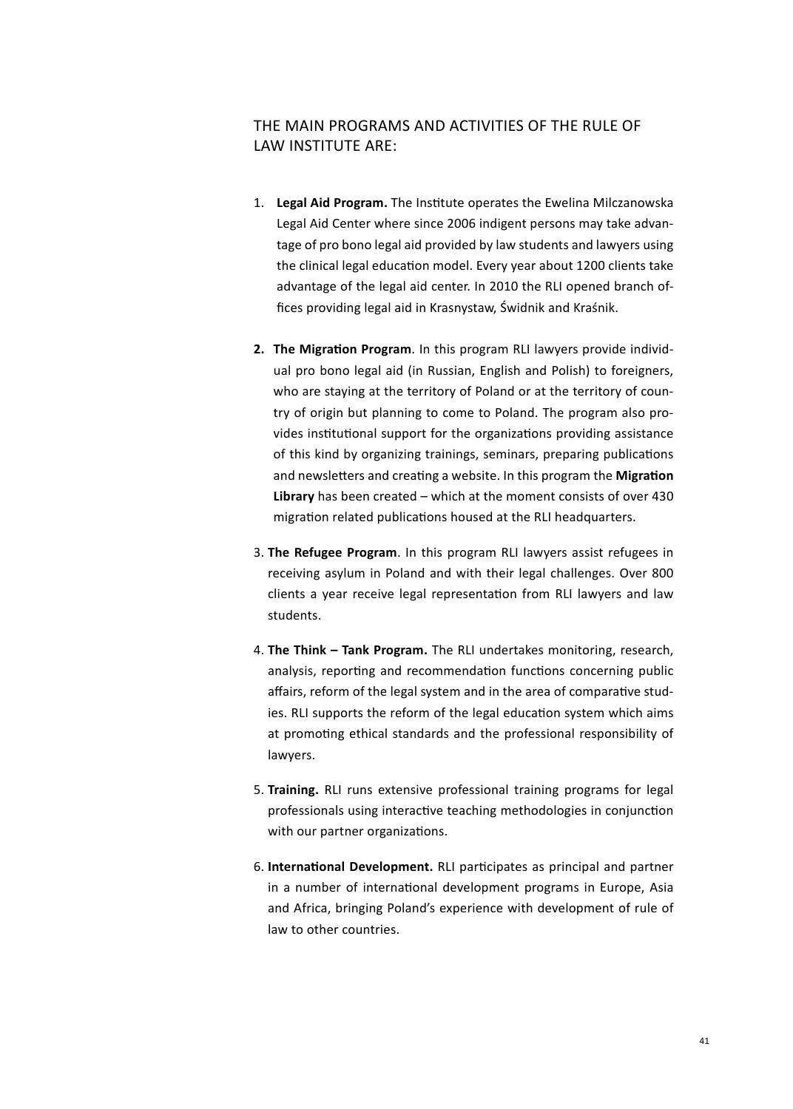# The main programs and activities of the Rule of Law Institute are:

- 1. **Legal Aid Program.** The Institute operates the Ewelina Milczanowska Legal Aid Center where since 2006 indigent persons may take advantage of pro bono legal aid provided by law students and lawyers using the clinical legal education model. Every year about 1200 clients take advantage of the legal aid center. In 2010 the RLI opened branch offices providing legal aid in Krasnystaw, Świdnik and Kraśnik.
- **2. The Migration Program**. In this program RLI lawyers provide individual pro bono legal aid (in Russian, English and Polish) to foreigners, who are staying at the territory of Poland or at the territory of country of origin but planning to come to Poland. The program also provides institutional support for the organizations providing assistance of this kind by organizing trainings, seminars, preparing publications and newsletters and creating a website. In this program the **Migration Library** has been created – which at the moment consists of over 430 migration related publications housed at the RLI headquarters.
- 3. **The Refugee Program**. In this program RLI lawyers assist refugees in receiving asylum in Poland and with their legal challenges. Over 800 clients a year receive legal representation from RLI lawyers and law students.
- 4. **The Think Tank Program.** The RLI undertakes monitoring, research, analysis, reporting and recommendation functions concerning public affairs, reform of the legal system and in the area of comparative studies. RLI supports the reform of the legal education system which aims at promoting ethical standards and the professional responsibility of lawyers.
- 5. **Training.** RLI runs extensive professional training programs for legal professionals using interactive teaching methodologies in conjunction with our partner organizations.
- 6. **International Development.** RLI participates as principal and partner in a number of international development programs in Europe, Asia and Africa, bringing Poland's experience with development of rule of law to other countries.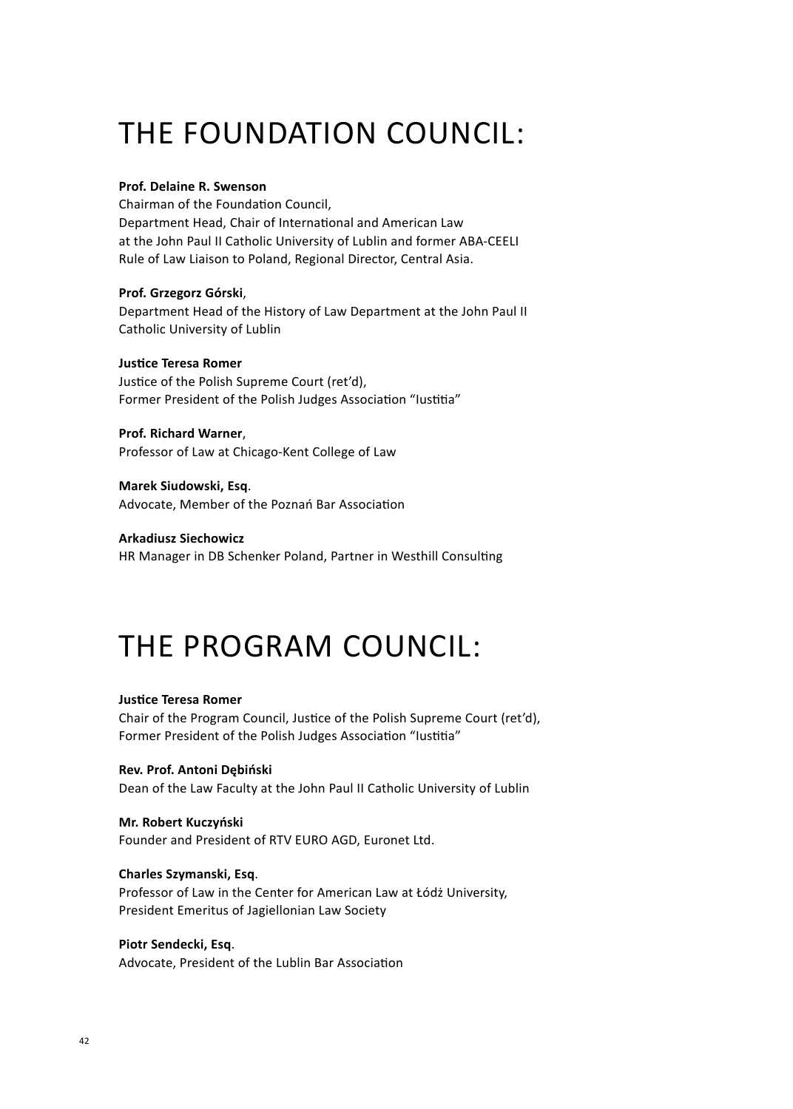# The Foundation Council:

### **Prof. Delaine R. Swenson**

Chairman of the Foundation Council, Department Head, Chair of International and American Law at the John Paul II Catholic University of Lublin and former ABA-CEELI Rule of Law Liaison to Poland, Regional Director, Central Asia.

### **Prof. Grzegorz Górski**,

Department Head of the History of Law Department at the John Paul II Catholic University of Lublin

### **Justice Teresa Romer**

Justice of the Polish Supreme Court (ret'd), Former President of the Polish Judges Association "Iustitia"

### **Prof. Richard Warner**, Professor of Law at Chicago-Kent College of Law

**Marek Siudowski, Esq**. Advocate, Member of the Poznań Bar Association

### **Arkadiusz Siechowicz**

HR Manager in DB Schenker Poland, Partner in Westhill Consulting

# The Program Council:

### **Justice Teresa Romer**

Chair of the Program Council, Justice of the Polish Supreme Court (ret'd), Former President of the Polish Judges Association "Iustitia"

### **Rev. Prof. Antoni Dębiński**

Dean of the Law Faculty at the John Paul II Catholic University of Lublin

### **Mr. Robert Kuczyński**

Founder and President of RTV EURO AGD, Euronet Ltd.

### **Charles Szymanski, Esq**.

Professor of Law in the Center for American Law at Łódż University, President Emeritus of Jagiellonian Law Society

### **Piotr Sendecki, Esq**.

Advocate, President of the Lublin Bar Association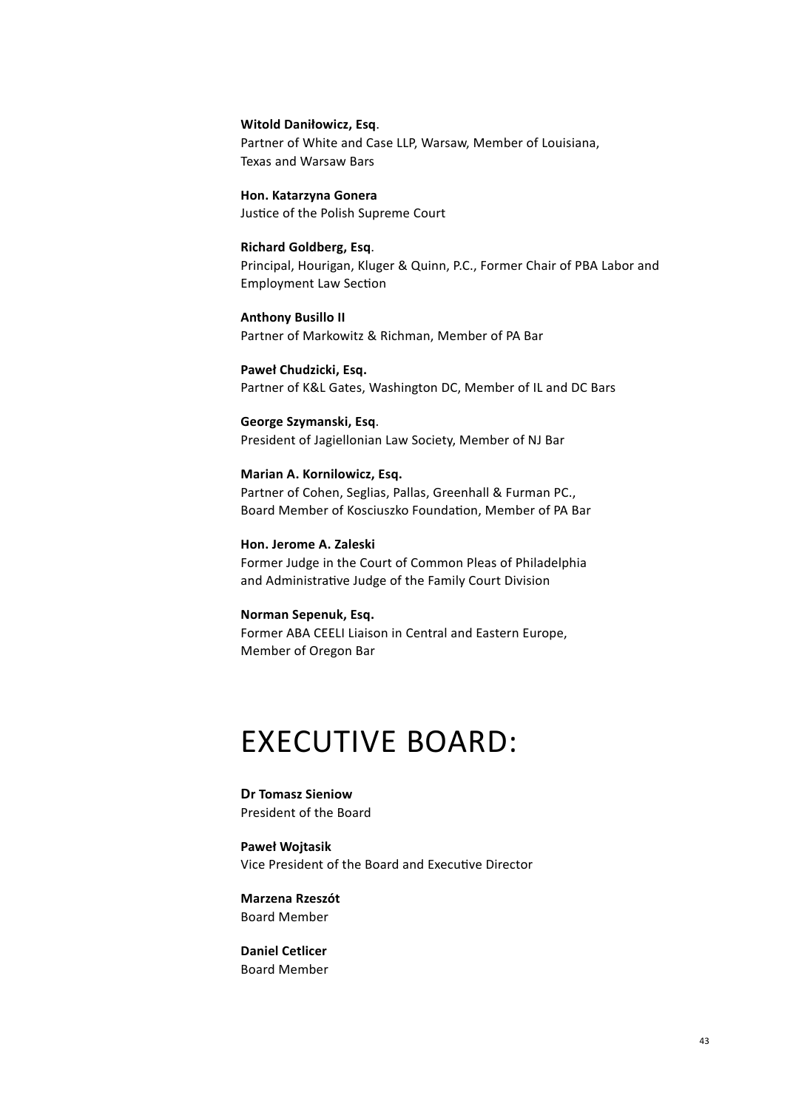### **Witold Daniłowicz, Esq**.

Partner of White and Case LLP, Warsaw, Member of Louisiana, Texas and Warsaw Bars

**Hon. Katarzyna Gonera** Justice of the Polish Supreme Court

### **Richard Goldberg, Esq**.

Principal, Hourigan, Kluger & Quinn, P.C., Former Chair of PBA Labor and Employment Law Section

**Anthony Busillo II** Partner of Markowitz & Richman, Member of PA Bar

**Paweł Chudzicki, Esq.** Partner of K&L Gates, Washington DC, Member of IL and DC Bars

### **George Szymanski, Esq**.

President of Jagiellonian Law Society, Member of NJ Bar

### **Marian A. Kornilowicz, Esq.**

Partner of Cohen, Seglias, Pallas, Greenhall & Furman PC., Board Member of Kosciuszko Foundation, Member of PA Bar

### **Hon. Jerome A. Zaleski**

Former Judge in the Court of Common Pleas of Philadelphia and Administrative Judge of the Family Court Division

#### **Norman Sepenuk, Esq.**

Former ABA CEELI Liaison in Central and Eastern Europe, Member of Oregon Bar

# Executive Board:

# **Dr Tomasz Sieniow**

President of the Board

### **Paweł Wojtasik**

Vice President of the Board and Executive Director

### **Marzena Rzeszót** Board Member

**Daniel Cetlicer** Board Member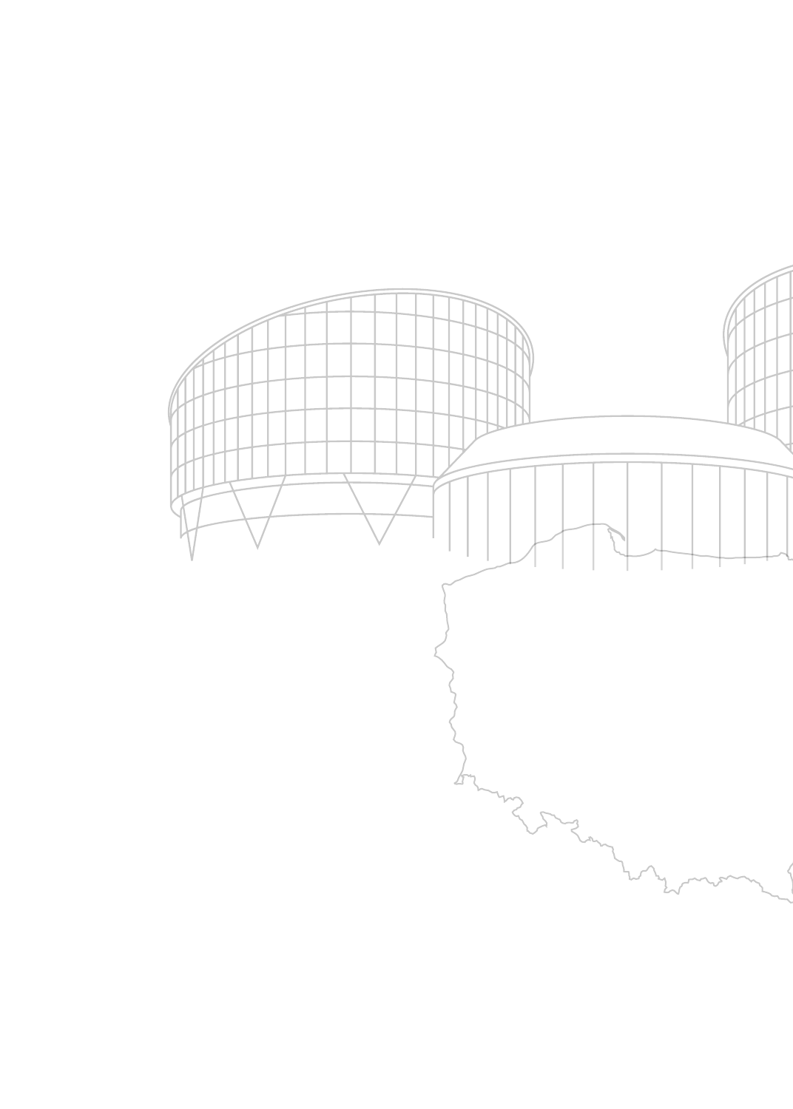